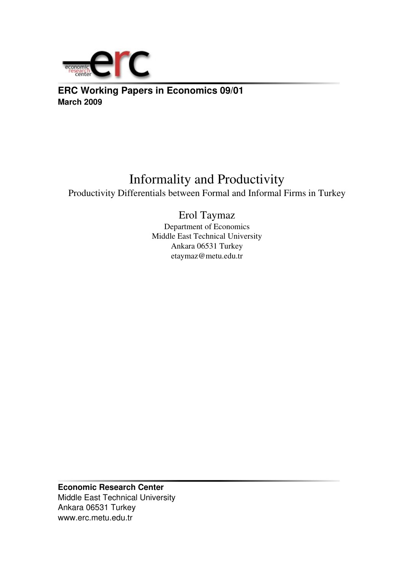

**ERC Working Papers in Economics 09/01 March 2009**

## Informality and Productivity

Productivity Differentials between Formal and Informal Firms in Turkey

## Erol Taymaz

Department of Economics Middle East Technical University Ankara 06531 Turkey etaymaz@metu.edu.tr

**Economic Research Center** Middle East Technical University Ankara 06531 Turkey www.erc.metu.edu.tr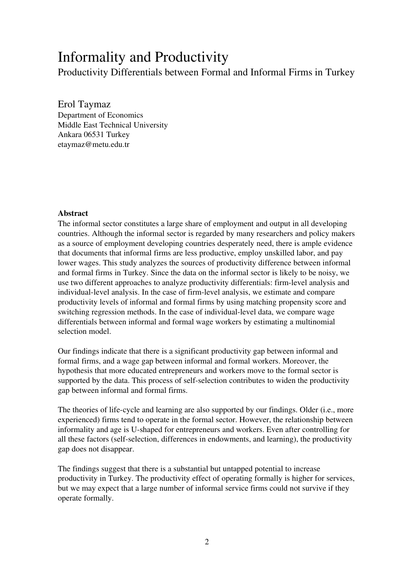# Informality and Productivity

Productivity Differentials between Formal and Informal Firms in Turkey

Erol Taymaz

Department of Economics Middle East Technical University Ankara 06531 Turkey etaymaz@metu.edu.tr

#### Abstract

The informal sector constitutes a large share of employment and output in all developing countries. Although the informal sector is regarded by many researchers and policy makers as a source of employment developing countries desperately need, there is ample evidence that documents that informal firms are less productive, employ unskilled labor, and pay lower wages. This study analyzes the sources of productivity difference between informal and formal firms in Turkey. Since the data on the informal sector is likely to be noisy, we use two different approaches to analyze productivity differentials: firm-level analysis and individual-level analysis. In the case of firm-level analysis, we estimate and compare productivity levels of informal and formal firms by using matching propensity score and switching regression methods. In the case of individual-level data, we compare wage differentials between informal and formal wage workers by estimating a multinomial selection model.

Our findings indicate that there is a significant productivity gap between informal and formal firms, and a wage gap between informal and formal workers. Moreover, the hypothesis that more educated entrepreneurs and workers move to the formal sector is supported by the data. This process of self-selection contributes to widen the productivity gap between informal and formal firms.

The theories of life-cycle and learning are also supported by our findings. Older (i.e., more experienced) firms tend to operate in the formal sector. However, the relationship between informality and age is U-shaped for entrepreneurs and workers. Even after controlling for all these factors (self-selection, differences in endowments, and learning), the productivity gap does not disappear.

The findings suggest that there is a substantial but untapped potential to increase productivity in Turkey. The productivity effect of operating formally is higher for services, but we may expect that a large number of informal service firms could not survive if they operate formally.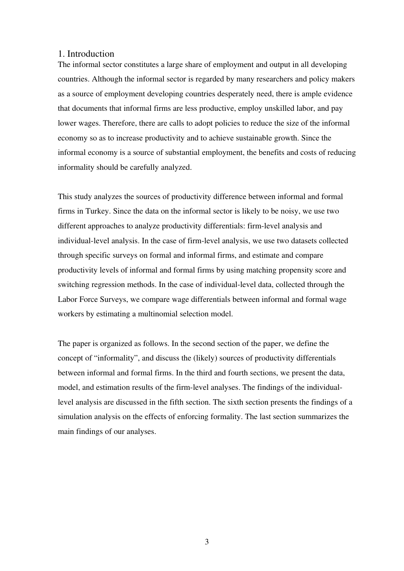#### 1. Introduction

The informal sector constitutes a large share of employment and output in all developing countries. Although the informal sector is regarded by many researchers and policy makers as a source of employment developing countries desperately need, there is ample evidence that documents that informal firms are less productive, employ unskilled labor, and pay lower wages. Therefore, there are calls to adopt policies to reduce the size of the informal economy so as to increase productivity and to achieve sustainable growth. Since the informal economy is a source of substantial employment, the benefits and costs of reducing informality should be carefully analyzed.

This study analyzes the sources of productivity difference between informal and formal firms in Turkey. Since the data on the informal sector is likely to be noisy, we use two different approaches to analyze productivity differentials: firm-level analysis and individual-level analysis. In the case of firm-level analysis, we use two datasets collected through specific surveys on formal and informal firms, and estimate and compare productivity levels of informal and formal firms by using matching propensity score and switching regression methods. In the case of individual-level data, collected through the Labor Force Surveys, we compare wage differentials between informal and formal wage workers by estimating a multinomial selection model.

The paper is organized as follows. In the second section of the paper, we define the concept of "informality", and discuss the (likely) sources of productivity differentials between informal and formal firms. In the third and fourth sections, we present the data, model, and estimation results of the firm-level analyses. The findings of the individuallevel analysis are discussed in the fifth section. The sixth section presents the findings of a simulation analysis on the effects of enforcing formality. The last section summarizes the main findings of our analyses.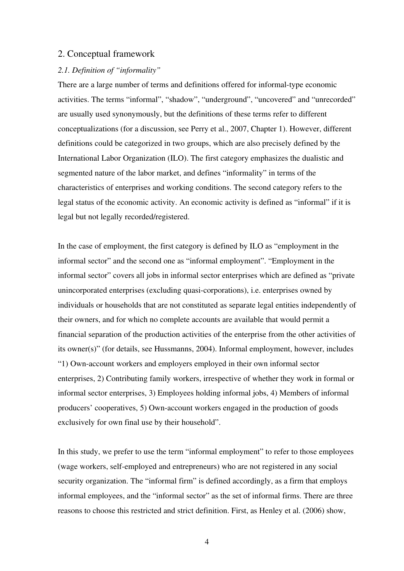#### 2. Conceptual framework

#### *2.1. Definition of "informality"*

There are a large number of terms and definitions offered for informal-type economic activities. The terms "informal", "shadow", "underground", "uncovered" and "unrecorded" are usually used synonymously, but the definitions of these terms refer to different conceptualizations (for a discussion, see Perry et al., 2007, Chapter 1). However, different definitions could be categorized in two groups, which are also precisely defined by the International Labor Organization (ILO). The first category emphasizes the dualistic and segmented nature of the labor market, and defines "informality" in terms of the characteristics of enterprises and working conditions. The second category refers to the legal status of the economic activity. An economic activity is defined as "informal" if it is legal but not legally recorded/registered.

In the case of employment, the first category is defined by ILO as "employment in the informal sector" and the second one as "informal employment". "Employment in the informal sector" covers all jobs in informal sector enterprises which are defined as "private unincorporated enterprises (excluding quasi-corporations), i.e. enterprises owned by individuals or households that are not constituted as separate legal entities independently of their owners, and for which no complete accounts are available that would permit a financial separation of the production activities of the enterprise from the other activities of its owner(s)" (for details, see Hussmanns, 2004). Informal employment, however, includes "1) Own-account workers and employers employed in their own informal sector enterprises, 2) Contributing family workers, irrespective of whether they work in formal or informal sector enterprises, 3) Employees holding informal jobs, 4) Members of informal producers' cooperatives, 5) Own-account workers engaged in the production of goods exclusively for own final use by their household".

In this study, we prefer to use the term "informal employment" to refer to those employees (wage workers, self-employed and entrepreneurs) who are not registered in any social security organization. The "informal firm" is defined accordingly, as a firm that employs informal employees, and the "informal sector" as the set of informal firms. There are three reasons to choose this restricted and strict definition. First, as Henley et al. (2006) show,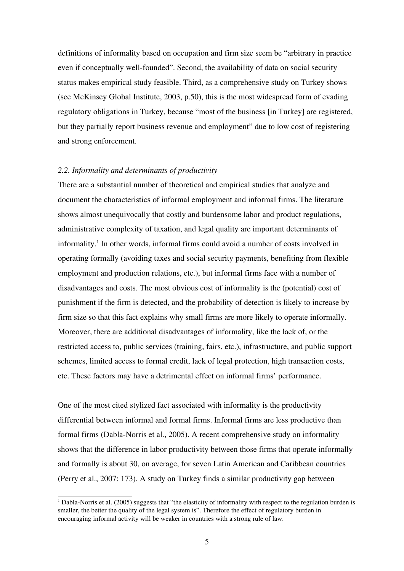definitions of informality based on occupation and firm size seem be "arbitrary in practice even if conceptually well-founded". Second, the availability of data on social security status makes empirical study feasible. Third, as a comprehensive study on Turkey shows (see McKinsey Global Institute, 2003, p.50), this is the most widespread form of evading regulatory obligations in Turkey, because "most of the business [in Turkey] are registered, but they partially report business revenue and employment" due to low cost of registering and strong enforcement.

#### *2.2. Informality and determinants of productivity*

There are a substantial number of theoretical and empirical studies that analyze and document the characteristics of informal employment and informal firms. The literature shows almost unequivocally that costly and burdensome labor and product regulations, administrative complexity of taxation, and legal quality are important determinants of informality.<sup>[1](#page-4-0)</sup> In other words, informal firms could avoid a number of costs involved in operating formally (avoiding taxes and social security payments, benefiting from flexible employment and production relations, etc.), but informal firms face with a number of disadvantages and costs. The most obvious cost of informality is the (potential) cost of punishment if the firm is detected, and the probability of detection is likely to increase by firm size so that this fact explains why small firms are more likely to operate informally. Moreover, there are additional disadvantages of informality, like the lack of, or the restricted access to, public services (training, fairs, etc.), infrastructure, and public support schemes, limited access to formal credit, lack of legal protection, high transaction costs, etc. These factors may have a detrimental effect on informal firms' performance.

One of the most cited stylized fact associated with informality is the productivity differential between informal and formal firms. Informal firms are less productive than formal firms (Dabla-Norris et al., 2005). A recent comprehensive study on informality shows that the difference in labor productivity between those firms that operate informally and formally is about 30, on average, for seven Latin American and Caribbean countries (Perry et al., 2007: 173). A study on Turkey finds a similar productivity gap between

<span id="page-4-0"></span> $1$  Dabla-Norris et al. (2005) suggests that "the elasticity of informality with respect to the regulation burden is smaller, the better the quality of the legal system is". Therefore the effect of regulatory burden in encouraging informal activity will be weaker in countries with a strong rule of law.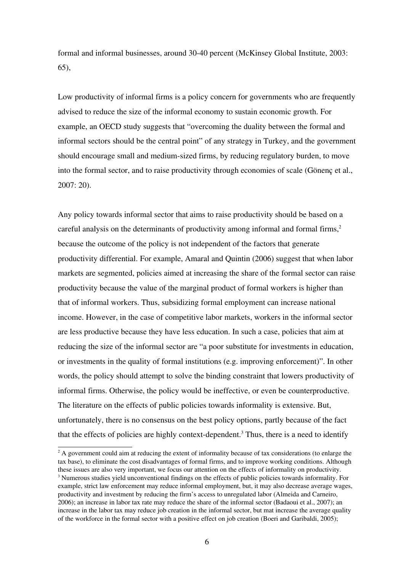formal and informal businesses, around 3040 percent (McKinsey Global Institute, 2003: 65),

Low productivity of informal firms is a policy concern for governments who are frequently advised to reduce the size of the informal economy to sustain economic growth. For example, an OECD study suggests that "overcoming the duality between the formal and informal sectors should be the central point" of any strategy in Turkey, and the government should encourage small and medium-sized firms, by reducing regulatory burden, to move into the formal sector, and to raise productivity through economies of scale (Gönenç et al., 2007: 20).

Any policy towards informal sector that aims to raise productivity should be based on a careful analysis on the determinants of productivity among informal and formal firms, $\frac{2}{3}$  $\frac{2}{3}$  $\frac{2}{3}$ because the outcome of the policy is not independent of the factors that generate productivity differential. For example, Amaral and Quintin (2006) suggest that when labor markets are segmented, policies aimed at increasing the share of the formal sector can raise productivity because the value of the marginal product of formal workers is higher than that of informal workers. Thus, subsidizing formal employment can increase national income. However, in the case of competitive labor markets, workers in the informal sector are less productive because they have less education. In such a case, policies that aim at reducing the size of the informal sector are "a poor substitute for investments in education, or investments in the quality of formal institutions (e.g. improving enforcement)". In other words, the policy should attempt to solve the binding constraint that lowers productivity of informal firms. Otherwise, the policy would be ineffective, or even be counterproductive. The literature on the effects of public policies towards informality is extensive. But, unfortunately, there is no consensus on the best policy options, partly because of the fact that the effects of policies are highly context-dependent.<sup>[3](#page-5-1)</sup> Thus, there is a need to identify

<span id="page-5-1"></span><span id="page-5-0"></span><sup>&</sup>lt;sup>2</sup> A government could aim at reducing the extent of informality because of tax considerations (to enlarge the tax base), to eliminate the cost disadvantages of formal firms, and to improve working conditions. Although these issues are also very important, we focus our attention on the effects of informality on productivity. <sup>3</sup> Numerous studies yield unconventional findings on the effects of public policies towards informality. For example, strict law enforcement may reduce informal employment, but, it may also decrease average wages, productivity and investment by reducing the firm's access to unregulated labor (Almeida and Carneiro, 2006); an increase in labor tax rate may reduce the share of the informal sector (Badaoui et al., 2007); an increase in the labor tax may reduce job creation in the informal sector, but mat increase the average quality of the workforce in the formal sector with a positive effect on job creation (Boeri and Garibaldi, 2005);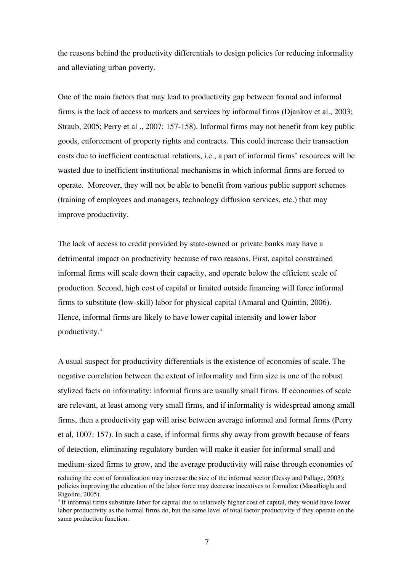the reasons behind the productivity differentials to design policies for reducing informality and alleviating urban poverty.

One of the main factors that may lead to productivity gap between formal and informal firms is the lack of access to markets and services by informal firms (Djankov et al., 2003; Straub, 2005; Perry et al., 2007: 157-158). Informal firms may not benefit from key public goods, enforcement of property rights and contracts. This could increase their transaction costs due to inefficient contractual relations, i.e., a part of informal firms' resources will be wasted due to inefficient institutional mechanisms in which informal firms are forced to operate. Moreover, they will not be able to benefit from various public support schemes (training of employees and managers, technology diffusion services, etc.) that may improve productivity.

The lack of access to credit provided by state-owned or private banks may have a detrimental impact on productivity because of two reasons. First, capital constrained informal firms will scale down their capacity, and operate below the efficient scale of production. Second, high cost of capital or limited outside financing will force informal firms to substitute (low-skill) labor for physical capital (Amaral and Quintin, 2006). Hence, informal firms are likely to have lower capital intensity and lower labor productivity.[4](#page-6-0)

A usual suspect for productivity differentials is the existence of economies of scale. The negative correlation between the extent of informality and firm size is one of the robust stylized facts on informality: informal firms are usually small firms. If economies of scale are relevant, at least among very small firms, and if informality is widespread among small firms, then a productivity gap will arise between average informal and formal firms (Perry et al, 1007: 157). In such a case, if informal firms shy away from growth because of fears of detection, eliminating regulatory burden will make it easier for informal small and medium-sized firms to grow, and the average productivity will raise through economies of

reducing the cost of formalization may increase the size of the informal sector (Dessy and Pallage, 2003); policies improving the education of the labor force may decrease incentives to formalize (Masatlioglu and Rigolini, 2005).

<span id="page-6-0"></span><sup>&</sup>lt;sup>4</sup> If informal firms substitute labor for capital due to relatively higher cost of capital, they would have lower labor productivity as the formal firms do, but the same level of total factor productivity if they operate on the same production function.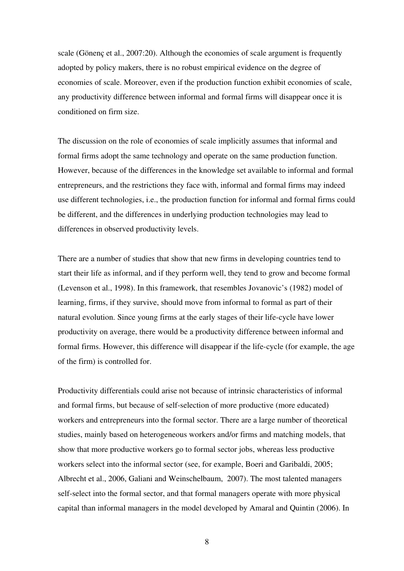scale (Gönenç et al., 2007:20). Although the economies of scale argument is frequently adopted by policy makers, there is no robust empirical evidence on the degree of economies of scale. Moreover, even if the production function exhibit economies of scale, any productivity difference between informal and formal firms will disappear once it is conditioned on firm size.

The discussion on the role of economies of scale implicitly assumes that informal and formal firms adopt the same technology and operate on the same production function. However, because of the differences in the knowledge set available to informal and formal entrepreneurs, and the restrictions they face with, informal and formal firms may indeed use different technologies, i.e., the production function for informal and formal firms could be different, and the differences in underlying production technologies may lead to differences in observed productivity levels.

There are a number of studies that show that new firms in developing countries tend to start their life as informal, and if they perform well, they tend to grow and become formal (Levenson et al., 1998). In this framework, that resembles Jovanovic's (1982) model of learning, firms, if they survive, should move from informal to formal as part of their natural evolution. Since young firms at the early stages of their life-cycle have lower productivity on average, there would be a productivity difference between informal and formal firms. However, this difference will disappear if the life-cycle (for example, the age of the firm) is controlled for.

Productivity differentials could arise not because of intrinsic characteristics of informal and formal firms, but because of self-selection of more productive (more educated) workers and entrepreneurs into the formal sector. There are a large number of theoretical studies, mainly based on heterogeneous workers and/or firms and matching models, that show that more productive workers go to formal sector jobs, whereas less productive workers select into the informal sector (see, for example, Boeri and Garibaldi, 2005; Albrecht et al., 2006, Galiani and Weinschelbaum, 2007). The most talented managers self-select into the formal sector, and that formal managers operate with more physical capital than informal managers in the model developed by Amaral and Quintin (2006). In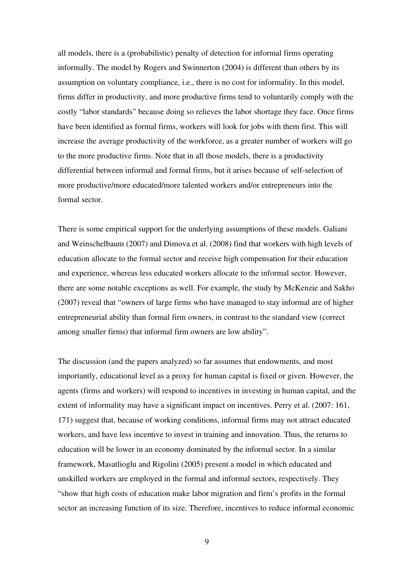all models, there is a (probabilistic) penalty of detection for informal firms operating informally. The model by Rogers and Swinnerton (2004) is different than others by its assumption on voluntary compliance, i.e., there is no cost for informality. In this model, firms differ in productivity, and more productive firms tend to voluntarily comply with the costly "labor standards" because doing so relieves the labor shortage they face. Once firms have been identified as formal firms, workers will look for jobs with them first. This will increase the average productivity of the workforce, as a greater number of workers will go to the more productive firms. Note that in all those models, there is a productivity differential between informal and formal firms, but it arises because of self-selection of more productive/more educated/more talented workers and/or entrepreneurs into the formal sector.

There is some empirical support for the underlying assumptions of these models. Galiani and Weinschelbaum (2007) and Dimova et al. (2008) find that workers with high levels of education allocate to the formal sector and receive high compensation for their education and experience, whereas less educated workers allocate to the informal sector. However, there are some notable exceptions as well. For example, the study by McKenzie and Sakho (2007) reveal that "owners of large firms who have managed to stay informal are of higher entrepreneurial ability than formal firm owners, in contrast to the standard view (correct among smaller firms) that informal firm owners are low ability".

The discussion (and the papers analyzed) so far assumes that endowments, and most importantly, educational level as a proxy for human capital is fixed or given. However, the agents (firms and workers) will respond to incentives in investing in human capital, and the extent of informality may have a significant impact on incentives. Perry et al. (2007: 161, 171) suggest that, because of working conditions, informal firms may not attract educated workers, and have less incentive to invest in training and innovation. Thus, the returns to education will be lower in an economy dominated by the informal sector. In a similar framework, Masatlioglu and Rigolini (2005) present a model in which educated and unskilled workers are employed in the formal and informal sectors, respectively. They "show that high costs of education make labor migration and firm's profits in the formal sector an increasing function of its size. Therefore, incentives to reduce informal economic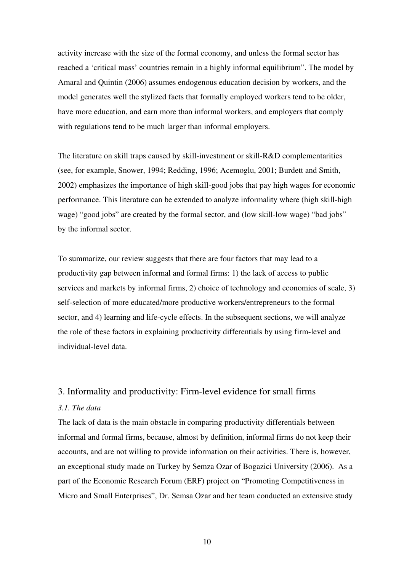activity increase with the size of the formal economy, and unless the formal sector has reached a 'critical mass' countries remain in a highly informal equilibrium". The model by Amaral and Quintin (2006) assumes endogenous education decision by workers, and the model generates well the stylized facts that formally employed workers tend to be older, have more education, and earn more than informal workers, and employers that comply with regulations tend to be much larger than informal employers.

The literature on skill traps caused by skill-investment or skill- $R&D$  complementarities (see, for example, Snower, 1994; Redding, 1996; Acemoglu, 2001; Burdett and Smith, 2002) emphasizes the importance of high skill-good jobs that pay high wages for economic performance. This literature can be extended to analyze informality where (high skill-high wage) "good jobs" are created by the formal sector, and (low skill-low wage) "bad jobs" by the informal sector.

To summarize, our review suggests that there are four factors that may lead to a productivity gap between informal and formal firms: 1) the lack of access to public services and markets by informal firms, 2) choice of technology and economies of scale, 3) self-selection of more educated/more productive workers/entrepreneurs to the formal sector, and 4) learning and life-cycle effects. In the subsequent sections, we will analyze the role of these factors in explaining productivity differentials by using firm-level and individual-level data.

#### 3. Informality and productivity: Firm-level evidence for small firms

#### *3.1. The data*

The lack of data is the main obstacle in comparing productivity differentials between informal and formal firms, because, almost by definition, informal firms do not keep their accounts, and are not willing to provide information on their activities. There is, however, an exceptional study made on Turkey by Semza Ozar of Bogazici University (2006). As a part of the Economic Research Forum (ERF) project on "Promoting Competitiveness in Micro and Small Enterprises", Dr. Semsa Ozar and her team conducted an extensive study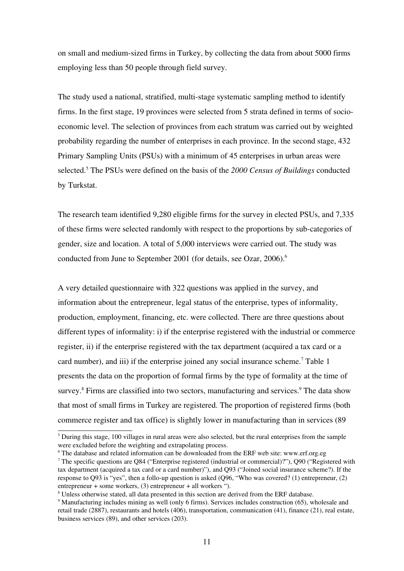on small and medium-sized firms in Turkey, by collecting the data from about 5000 firms employing less than 50 people through field survey.

The study used a national, stratified, multi-stage systematic sampling method to identify firms. In the first stage, 19 provinces were selected from 5 strata defined in terms of socioeconomic level. The selection of provinces from each stratum was carried out by weighted probability regarding the number of enterprises in each province. In the second stage, 432 Primary Sampling Units (PSUs) with a minimum of 45 enterprises in urban areas were selected.[5](#page-10-0) The PSUs were defined on the basis of the *2000 Census of Buildings* conducted by Turkstat.

The research team identified 9,280 eligible firms for the survey in elected PSUs, and 7,335 of these firms were selected randomly with respect to the proportions by sub-categories of gender, size and location. A total of 5,000 interviews were carried out. The study was conducted from June to September 2001 (for details, see Ozar, 200[6](#page-10-1)).<sup>6</sup>

A very detailed questionnaire with 322 questions was applied in the survey, and information about the entrepreneur, legal status of the enterprise, types of informality, production, employment, financing, etc. were collected. There are three questions about different types of informality: i) if the enterprise registered with the industrial or commerce register, ii) if the enterprise registered with the tax department (acquired a tax card or a card number), and iii) if the enterprise joined any social insurance scheme.<sup>[7](#page-10-2)</sup> Table 1 presents the data on the proportion of formal firms by the type of formality at the time of survey.<sup>[8](#page-10-3)</sup> Firms are classified into two sectors, manufacturing and services.<sup>[9](#page-10-4)</sup> The data show that most of small firms in Turkey are registered. The proportion of registered firms (both commerce register and tax office) is slightly lower in manufacturing than in services (89

<span id="page-10-0"></span> $<sup>5</sup>$  During this stage, 100 villages in rural areas were also selected, but the rural enterprises from the sample</sup> were excluded before the weighting and extrapolating process.

<span id="page-10-1"></span><sup>&</sup>lt;sup>6</sup> The database and related information can be downloaded from the ERF web site: www.erf.org.eg

<span id="page-10-2"></span><sup>&</sup>lt;sup>7</sup> The specific questions are Q84 ("Enterprise registered (industrial or commercial)?"), Q90 ("Registered with tax department (acquired a tax card or a card number)"), and Q93 ("Joined social insurance scheme?). If the response to  $Q93$  is "yes", then a follo-up question is asked  $(Q96, "Who was covered? (1) enter preneur, (2)$ entrepreneur + some workers, (3) entrepreneur + all workers ").

<span id="page-10-3"></span><sup>&</sup>lt;sup>8</sup> Unless otherwise stated, all data presented in this section are derived from the ERF database.

<span id="page-10-4"></span><sup>&</sup>lt;sup>9</sup> Manufacturing includes mining as well (only 6 firms). Services includes construction (65), wholesale and retail trade (2887), restaurants and hotels (406), transportation, communication (41), finance (21), real estate, business services (89), and other services (203).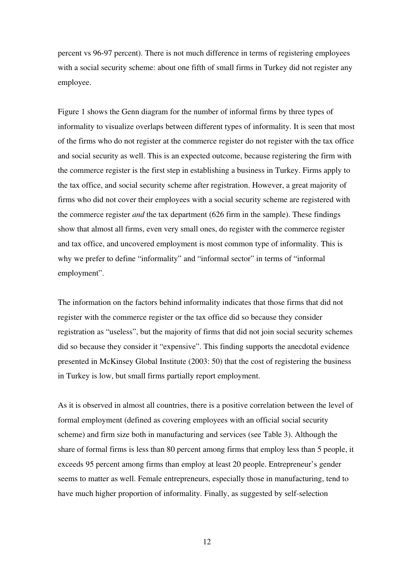percent vs 96-97 percent). There is not much difference in terms of registering employees with a social security scheme: about one fifth of small firms in Turkey did not register any employee.

Figure 1 shows the Genn diagram for the number of informal firms by three types of informality to visualize overlaps between different types of informality. It is seen that most of the firms who do not register at the commerce register do not register with the tax office and social security as well. This is an expected outcome, because registering the firm with the commerce register is the first step in establishing a business in Turkey. Firms apply to the tax office, and social security scheme after registration. However, a great majority of firms who did not cover their employees with a social security scheme are registered with the commerce register *and* the tax department (626 firm in the sample). These findings show that almost all firms, even very small ones, do register with the commerce register and tax office, and uncovered employment is most common type of informality. This is why we prefer to define "informality" and "informal sector" in terms of "informal employment".

The information on the factors behind informality indicates that those firms that did not register with the commerce register or the tax office did so because they consider registration as "useless", but the majority of firms that did not join social security schemes did so because they consider it "expensive". This finding supports the anecdotal evidence presented in McKinsey Global Institute (2003: 50) that the cost of registering the business in Turkey is low, but small firms partially report employment.

As it is observed in almost all countries, there is a positive correlation between the level of formal employment (defined as covering employees with an official social security scheme) and firm size both in manufacturing and services (see Table 3). Although the share of formal firms is less than 80 percent among firms that employ less than 5 people, it exceeds 95 percent among firms than employ at least 20 people. Entrepreneur's gender seems to matter as well. Female entrepreneurs, especially those in manufacturing, tend to have much higher proportion of informality. Finally, as suggested by self-selection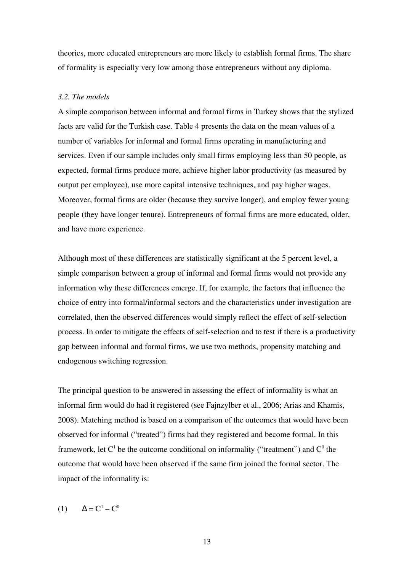theories, more educated entrepreneurs are more likely to establish formal firms. The share of formality is especially very low among those entrepreneurs without any diploma.

#### *3.2. The models*

A simple comparison between informal and formal firms in Turkey shows that the stylized facts are valid for the Turkish case. Table 4 presents the data on the mean values of a number of variables for informal and formal firms operating in manufacturing and services. Even if our sample includes only small firms employing less than 50 people, as expected, formal firms produce more, achieve higher labor productivity (as measured by output per employee), use more capital intensive techniques, and pay higher wages. Moreover, formal firms are older (because they survive longer), and employ fewer young people (they have longer tenure). Entrepreneurs of formal firms are more educated, older, and have more experience.

Although most of these differences are statistically significant at the 5 percent level, a simple comparison between a group of informal and formal firms would not provide any information why these differences emerge. If, for example, the factors that influence the choice of entry into formal/informal sectors and the characteristics under investigation are correlated, then the observed differences would simply reflect the effect of self-selection process. In order to mitigate the effects of self-selection and to test if there is a productivity gap between informal and formal firms, we use two methods, propensity matching and endogenous switching regression.

The principal question to be answered in assessing the effect of informality is what an informal firm would do had it registered (see Fajnzylber et al., 2006; Arias and Khamis, 2008). Matching method is based on a comparison of the outcomes that would have been observed for informal ("treated") firms had they registered and become formal. In this framework, let C<sup>1</sup> be the outcome conditional on informality ("treatment") and C<sup>0</sup> the outcome that would have been observed if the same firm joined the formal sector. The impact of the informality is:

(1)  $\Delta = C^1 - C^0$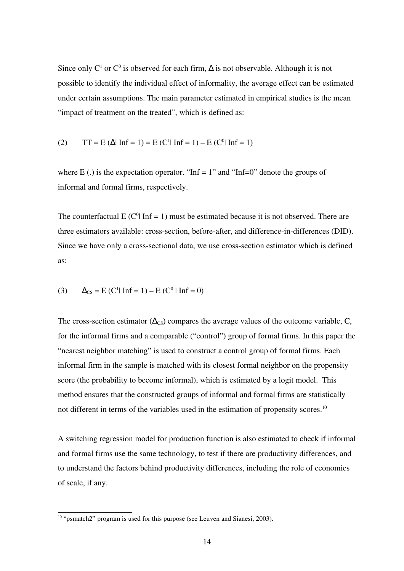Since only C<sup>1</sup> or C<sup>0</sup> is observed for each firm,  $\Delta$  is not observable. Although it is not possible to identify the individual effect of informality, the average effect can be estimated under certain assumptions. The main parameter estimated in empirical studies is the mean "impact of treatment on the treated", which is defined as:

(2) 
$$
TT = E(\Delta | \ln f = 1) = E(C^1 | \ln f = 1) - E(C^0 | \ln f = 1)
$$

where E(.) is the expectation operator. "Inf = 1" and "Inf=0" denote the groups of informal and formal firms, respectively.

The counterfactual  $E(C^0 | Inf = 1)$  must be estimated because it is not observed. There are three estimators available: cross-section, before-after, and difference-in-differences (DID). Since we have only a cross-sectional data, we use cross-section estimator which is defined as:

(3)  $\Delta_{\text{CS}} = E(C^1 | \text{Inf} = 1) - E(C^0 | \text{Inf} = 0)$ 

The cross-section estimator ( $\Delta_{\text{CS}}$ ) compares the average values of the outcome variable, C, for the informal firms and a comparable ("control") group of formal firms. In this paper the "nearest neighbor matching" is used to construct a control group of formal firms. Each informal firm in the sample is matched with its closest formal neighbor on the propensity score (the probability to become informal), which is estimated by a logit model. This method ensures that the constructed groups of informal and formal firms are statistically not different in terms of the variables used in the estimation of propensity scores.<sup>[10](#page-13-0)</sup>

A switching regression model for production function is also estimated to check if informal and formal firms use the same technology, to test if there are productivity differences, and to understand the factors behind productivity differences, including the role of economies of scale, if any.

<span id="page-13-0"></span><sup>&</sup>lt;sup>10</sup> "psmatch2" program is used for this purpose (see Leuven and Sianesi, 2003).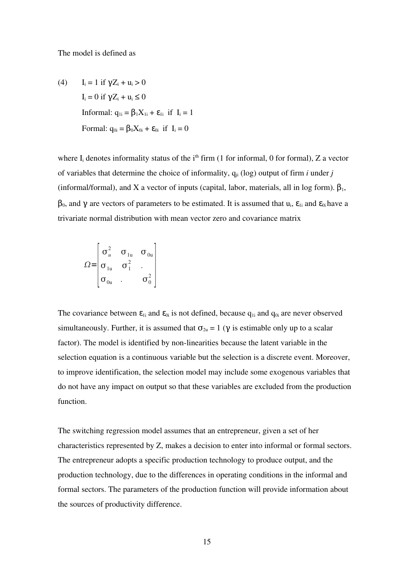The model is defined as

(4) 
$$
I_i = 1 \text{ if } \gamma Z_i + u_i > 0
$$

$$
I_i = 0 \text{ if } \gamma Z_i + u_i \le 0
$$
  
Informal: 
$$
q_{1i} = \beta_1 X_{1i} + \varepsilon_{1i} \text{ if } I_i = 1
$$
  
Formal: 
$$
q_{0i} = \beta_0 X_{0i} + \varepsilon_{0i} \text{ if } I_i = 0
$$

where  $I_i$  denotes informality status of the i<sup>th</sup> firm (1 for informal, 0 for formal), Z a vector of variables that determine the choice of informality,  $q_{ii}$  (log) output of firm *i* under *j* (informal/formal), and X a vector of inputs (capital, labor, materials, all in log form).  $\beta_1$ ,  $β_0$ , and γ are vectors of parameters to be estimated. It is assumed that  $u_i$ ,  $ε_{1i}$  and  $ε_{0i}$  have a trivariate normal distribution with mean vector zero and covariance matrix

$$
\Omega = \begin{bmatrix} \sigma_u^2 & \sigma_{1u} & \sigma_{0u} \\ \sigma_{1u} & \sigma_1^2 & \cdot \\ \sigma_{0u} & \cdot & \sigma_0^2 \end{bmatrix}
$$

The covariance between  $\varepsilon_{1i}$  and  $\varepsilon_{0i}$  is not defined, because  $q_{1i}$  and  $q_{0i}$  are never observed simultaneously. Further, it is assumed that  $\sigma_{2u} = 1$  ( $\gamma$  is estimable only up to a scalar factor). The model is identified by non-linearities because the latent variable in the selection equation is a continuous variable but the selection is a discrete event. Moreover, to improve identification, the selection model may include some exogenous variables that do not have any impact on output so that these variables are excluded from the production function.

The switching regression model assumes that an entrepreneur, given a set of her characteristics represented by Z, makes a decision to enter into informal or formal sectors. The entrepreneur adopts a specific production technology to produce output, and the production technology, due to the differences in operating conditions in the informal and formal sectors. The parameters of the production function will provide information about the sources of productivity difference.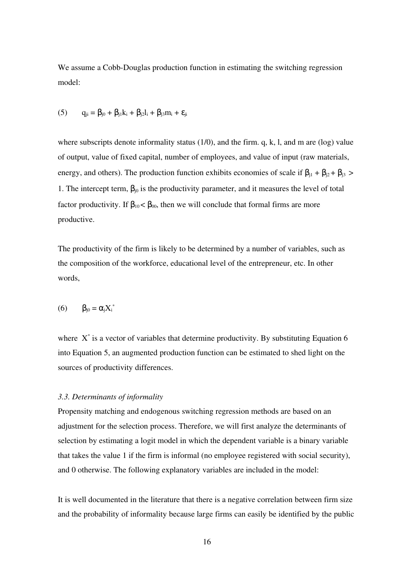We assume a Cobb-Douglas production function in estimating the switching regression model:

(5) 
$$
q_{ji} = \beta_{j0} + \beta_{j1}k_i + \beta_{j2}l_i + \beta_{j3}m_i + \epsilon_{ji}
$$

where subscripts denote informality status  $(1/0)$ , and the firm. q, k, l, and m are  $(\log)$  value of output, value of fixed capital, number of employees, and value of input (raw materials, energy, and others). The production function exhibits economies of scale if  $\beta_{j1} + \beta_{j2} + \beta_{j3}$  > 1. The intercept term,  $\beta_{i0}$  is the productivity parameter, and it measures the level of total factor productivity. If  $\beta_{10} < \beta_{00}$ , then we will conclude that formal firms are more productive.

The productivity of the firm is likely to be determined by a number of variables, such as the composition of the workforce, educational level of the entrepreneur, etc. In other words,

$$
(6) \qquad \beta_{j0} = \alpha_j X_i^*
$$

where  $X^*$  is a vector of variables that determine productivity. By substituting Equation 6 into Equation 5, an augmented production function can be estimated to shed light on the sources of productivity differences.

#### *3.3. Determinants of informality*

Propensity matching and endogenous switching regression methods are based on an adjustment for the selection process. Therefore, we will first analyze the determinants of selection by estimating a logit model in which the dependent variable is a binary variable that takes the value 1 if the firm is informal (no employee registered with social security), and 0 otherwise. The following explanatory variables are included in the model:

It is well documented in the literature that there is a negative correlation between firm size and the probability of informality because large firms can easily be identified by the public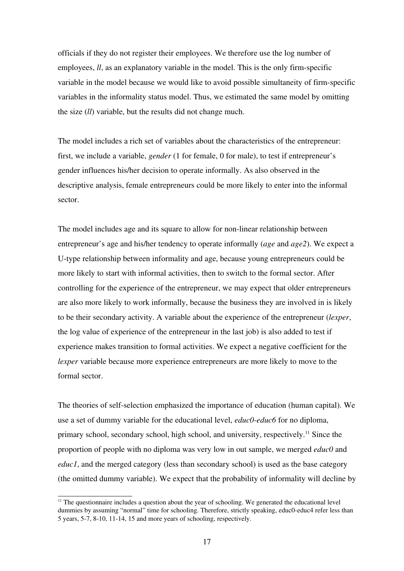officials if they do not register their employees. We therefore use the log number of employees,  $ll$ , as an explanatory variable in the model. This is the only firm-specific variable in the model because we would like to avoid possible simultaneity of firm-specific variables in the informality status model. Thus, we estimated the same model by omitting the size (*ll*) variable, but the results did not change much.

The model includes a rich set of variables about the characteristics of the entrepreneur: first, we include a variable, *gender* (1 for female, 0 for male), to test if entrepreneur's gender influences his/her decision to operate informally. As also observed in the descriptive analysis, female entrepreneurs could be more likely to enter into the informal sector.

The model includes age and its square to allow for non-linear relationship between entrepreneur's age and his/her tendency to operate informally (*age* and *age2*). We expect a U-type relationship between informality and age, because young entrepreneurs could be more likely to start with informal activities, then to switch to the formal sector. After controlling for the experience of the entrepreneur, we may expect that older entrepreneurs are also more likely to work informally, because the business they are involved in is likely to be their secondary activity. A variable about the experience of the entrepreneur (*lexper*, the log value of experience of the entrepreneur in the last job) is also added to test if experience makes transition to formal activities. We expect a negative coefficient for the *lexper* variable because more experience entrepreneurs are more likely to move to the formal sector.

The theories of self-selection emphasized the importance of education (human capital). We use a set of dummy variable for the educational level, *educ0-educ6* for no diploma, primary school, secondary school, high school, and university, respectively.[11](#page-16-0) Since the proportion of people with no diploma was very low in out sample, we merged *educ0* and *educ1*, and the merged category (less than secondary school) is used as the base category (the omitted dummy variable). We expect that the probability of informality will decline by

<span id="page-16-0"></span> $<sup>11</sup>$  The questionnaire includes a question about the year of schooling. We generated the educational level</sup> dummies by assuming "normal" time for schooling. Therefore, strictly speaking, educ0-educ4 refer less than  $5$  years,  $5-7$ ,  $8-10$ ,  $11-14$ ,  $15$  and more years of schooling, respectively.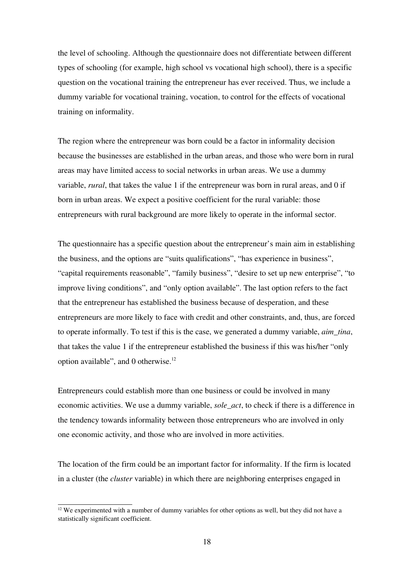the level of schooling. Although the questionnaire does not differentiate between different types of schooling (for example, high school vs vocational high school), there is a specific question on the vocational training the entrepreneur has ever received. Thus, we include a dummy variable for vocational training, vocation, to control for the effects of vocational training on informality.

The region where the entrepreneur was born could be a factor in informality decision because the businesses are established in the urban areas, and those who were born in rural areas may have limited access to social networks in urban areas. We use a dummy variable, *rural*, that takes the value 1 if the entrepreneur was born in rural areas, and 0 if born in urban areas. We expect a positive coefficient for the rural variable: those entrepreneurs with rural background are more likely to operate in the informal sector.

The questionnaire has a specific question about the entrepreneur's main aim in establishing the business, and the options are "suits qualifications", "has experience in business", "capital requirements reasonable", "family business", "desire to set up new enterprise", "to improve living conditions", and "only option available". The last option refers to the fact that the entrepreneur has established the business because of desperation, and these entrepreneurs are more likely to face with credit and other constraints, and, thus, are forced to operate informally. To test if this is the case, we generated a dummy variable, *aim\_tina*, that takes the value 1 if the entrepreneur established the business if this was his/her "only option available", and 0 otherwise.<sup>[12](#page-17-0)</sup>

Entrepreneurs could establish more than one business or could be involved in many economic activities. We use a dummy variable, *sole\_act*, to check if there is a difference in the tendency towards informality between those entrepreneurs who are involved in only one economic activity, and those who are involved in more activities.

The location of the firm could be an important factor for informality. If the firm is located in a cluster (the *cluster* variable) in which there are neighboring enterprises engaged in

<span id="page-17-0"></span> $12$  We experimented with a number of dummy variables for other options as well, but they did not have a statistically significant coefficient.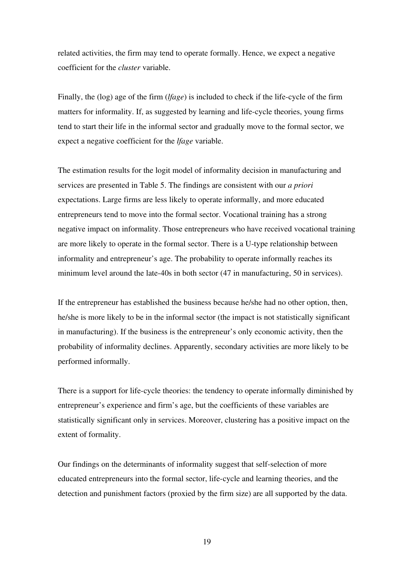related activities, the firm may tend to operate formally. Hence, we expect a negative coefficient for the *cluster* variable.

Finally, the (log) age of the firm (*lfage*) is included to check if the life-cycle of the firm matters for informality. If, as suggested by learning and life-cycle theories, young firms tend to start their life in the informal sector and gradually move to the formal sector, we expect a negative coefficient for the *lfage* variable.

The estimation results for the logit model of informality decision in manufacturing and services are presented in Table 5. The findings are consistent with our *a priori* expectations. Large firms are less likely to operate informally, and more educated entrepreneurs tend to move into the formal sector. Vocational training has a strong negative impact on informality. Those entrepreneurs who have received vocational training are more likely to operate in the formal sector. There is a U-type relationship between informality and entrepreneur's age. The probability to operate informally reaches its minimum level around the late-40s in both sector (47 in manufacturing, 50 in services).

If the entrepreneur has established the business because he/she had no other option, then, he/she is more likely to be in the informal sector (the impact is not statistically significant in manufacturing). If the business is the entrepreneur's only economic activity, then the probability of informality declines. Apparently, secondary activities are more likely to be performed informally.

There is a support for life-cycle theories: the tendency to operate informally diminished by entrepreneur's experience and firm's age, but the coefficients of these variables are statistically significant only in services. Moreover, clustering has a positive impact on the extent of formality.

Our findings on the determinants of informality suggest that self-selection of more educated entrepreneurs into the formal sector, life-cycle and learning theories, and the detection and punishment factors (proxied by the firm size) are all supported by the data.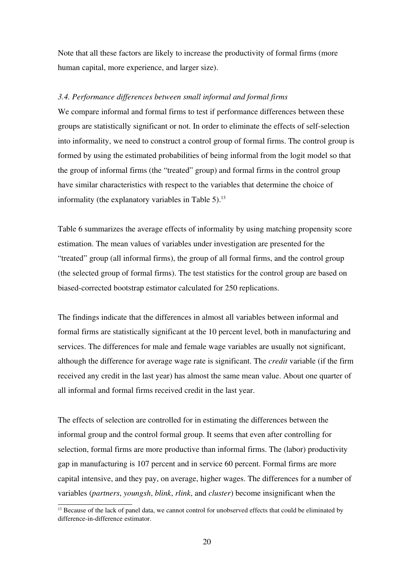Note that all these factors are likely to increase the productivity of formal firms (more human capital, more experience, and larger size).

#### *3.4. Performance differences between small informal and formal firms*

We compare informal and formal firms to test if performance differences between these groups are statistically significant or not. In order to eliminate the effects of self-selection into informality, we need to construct a control group of formal firms. The control group is formed by using the estimated probabilities of being informal from the logit model so that the group of informal firms (the "treated" group) and formal firms in the control group have similar characteristics with respect to the variables that determine the choice of informality (the explanatory variables in Table  $5$ ).<sup>[13](#page-19-0)</sup>

Table 6 summarizes the average effects of informality by using matching propensity score estimation. The mean values of variables under investigation are presented for the "treated" group (all informal firms), the group of all formal firms, and the control group (the selected group of formal firms). The test statistics for the control group are based on biased-corrected bootstrap estimator calculated for 250 replications.

The findings indicate that the differences in almost all variables between informal and formal firms are statistically significant at the 10 percent level, both in manufacturing and services. The differences for male and female wage variables are usually not significant, although the difference for average wage rate is significant. The *credit* variable (if the firm received any credit in the last year) has almost the same mean value. About one quarter of all informal and formal firms received credit in the last year.

The effects of selection are controlled for in estimating the differences between the informal group and the control formal group. It seems that even after controlling for selection, formal firms are more productive than informal firms. The (labor) productivity gap in manufacturing is 107 percent and in service 60 percent. Formal firms are more capital intensive, and they pay, on average, higher wages. The differences for a number of variables (*partners*, *youngsh*, *blink*, *rlink*, and *cluster*) become insignificant when the

<span id="page-19-0"></span> $<sup>13</sup>$  Because of the lack of panel data, we cannot control for unobserved effects that could be eliminated by</sup> difference-in-difference estimator.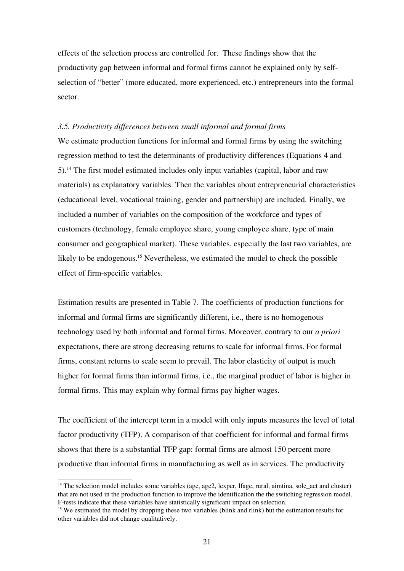effects of the selection process are controlled for. These findings show that the productivity gap between informal and formal firms cannot be explained only by selfselection of "better" (more educated, more experienced, etc.) entrepreneurs into the formal sector.

#### *3.5. Productivity differences between small informal and formal firms*

We estimate production functions for informal and formal firms by using the switching regression method to test the determinants of productivity differences (Equations 4 and 5).[14](#page-20-0) The first model estimated includes only input variables (capital, labor and raw materials) as explanatory variables. Then the variables about entrepreneurial characteristics (educational level, vocational training, gender and partnership) are included. Finally, we included a number of variables on the composition of the workforce and types of customers (technology, female employee share, young employee share, type of main consumer and geographical market). These variables, especially the last two variables, are likely to be endogenous.<sup>[15](#page-20-1)</sup> Nevertheless, we estimated the model to check the possible effect of firm-specific variables.

Estimation results are presented in Table 7. The coefficients of production functions for informal and formal firms are significantly different, i.e., there is no homogenous technology used by both informal and formal firms. Moreover, contrary to our *a priori* expectations, there are strong decreasing returns to scale for informal firms. For formal firms, constant returns to scale seem to prevail. The labor elasticity of output is much higher for formal firms than informal firms, i.e., the marginal product of labor is higher in formal firms. This may explain why formal firms pay higher wages.

The coefficient of the intercept term in a model with only inputs measures the level of total factor productivity (TFP). A comparison of that coefficient for informal and formal firms shows that there is a substantial TFP gap: formal firms are almost 150 percent more productive than informal firms in manufacturing as well as in services. The productivity

<span id="page-20-0"></span> $14$  The selection model includes some variables (age, age2, lexper, lfage, rural, aimtina, sole act and cluster) that are not used in the production function to improve the identification the the switching regression model. Ftests indicate that these variables have statistically significant impact on selection.

<span id="page-20-1"></span> $15$  We estimated the model by dropping these two variables (blink and rlink) but the estimation results for other variables did not change qualitatively.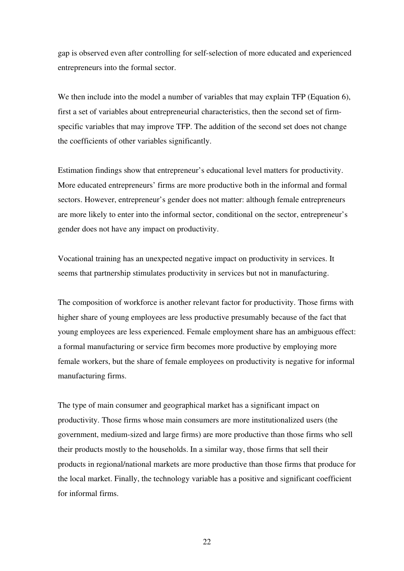gap is observed even after controlling for self-selection of more educated and experienced entrepreneurs into the formal sector.

We then include into the model a number of variables that may explain TFP (Equation 6), first a set of variables about entrepreneurial characteristics, then the second set of firmspecific variables that may improve TFP. The addition of the second set does not change the coefficients of other variables significantly.

Estimation findings show that entrepreneur's educational level matters for productivity. More educated entrepreneurs' firms are more productive both in the informal and formal sectors. However, entrepreneur's gender does not matter: although female entrepreneurs are more likely to enter into the informal sector, conditional on the sector, entrepreneur's gender does not have any impact on productivity.

Vocational training has an unexpected negative impact on productivity in services. It seems that partnership stimulates productivity in services but not in manufacturing.

The composition of workforce is another relevant factor for productivity. Those firms with higher share of young employees are less productive presumably because of the fact that young employees are less experienced. Female employment share has an ambiguous effect: a formal manufacturing or service firm becomes more productive by employing more female workers, but the share of female employees on productivity is negative for informal manufacturing firms.

The type of main consumer and geographical market has a significant impact on productivity. Those firms whose main consumers are more institutionalized users (the government, medium-sized and large firms) are more productive than those firms who sell their products mostly to the households. In a similar way, those firms that sell their products in regional/national markets are more productive than those firms that produce for the local market. Finally, the technology variable has a positive and significant coefficient for informal firms.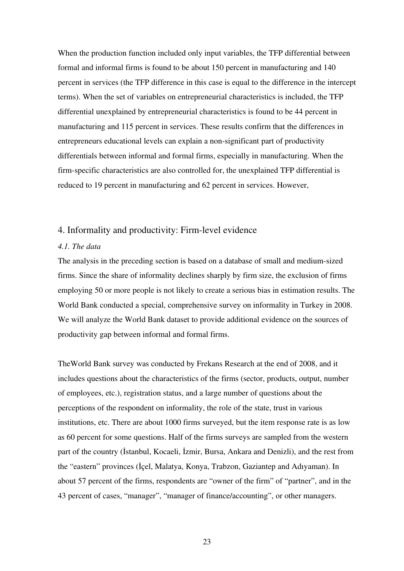When the production function included only input variables, the TFP differential between formal and informal firms is found to be about 150 percent in manufacturing and 140 percent in services (the TFP difference in this case is equal to the difference in the intercept terms). When the set of variables on entrepreneurial characteristics is included, the TFP differential unexplained by entrepreneurial characteristics is found to be 44 percent in manufacturing and 115 percent in services. These results confirm that the differences in entrepreneurs educational levels can explain a non-significant part of productivity differentials between informal and formal firms, especially in manufacturing. When the firm-specific characteristics are also controlled for, the unexplained TFP differential is reduced to 19 percent in manufacturing and 62 percent in services. However,

#### 4. Informality and productivity: Firm-level evidence

#### *4.1. The data*

The analysis in the preceding section is based on a database of small and medium-sized firms. Since the share of informality declines sharply by firm size, the exclusion of firms employing 50 or more people is not likely to create a serious bias in estimation results. The World Bank conducted a special, comprehensive survey on informality in Turkey in 2008. We will analyze the World Bank dataset to provide additional evidence on the sources of productivity gap between informal and formal firms.

TheWorld Bank survey was conducted by Frekans Research at the end of 2008, and it includes questions about the characteristics of the firms (sector, products, output, number of employees, etc.), registration status, and a large number of questions about the perceptions of the respondent on informality, the role of the state, trust in various institutions, etc. There are about 1000 firms surveyed, but the item response rate is as low as 60 percent for some questions. Half of the firms surveys are sampled from the western part of the country (İstanbul, Kocaeli, İzmir, Bursa, Ankara and Denizli), and the rest from the "eastern" provinces (İçel, Malatya, Konya, Trabzon, Gaziantep and Adıyaman). In about 57 percent of the firms, respondents are "owner of the firm" of "partner", and in the 43 percent of cases, "manager", "manager of finance/accounting", or other managers.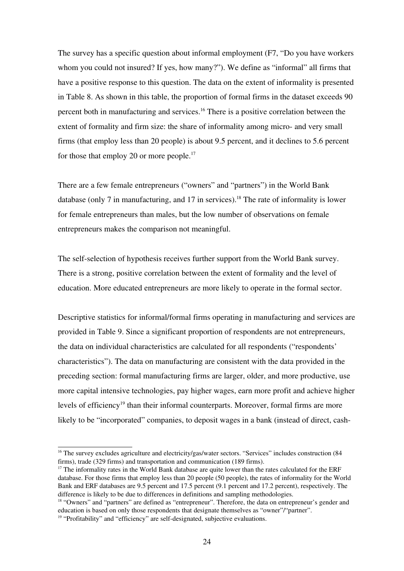The survey has a specific question about informal employment (F7, "Do you have workers whom you could not insured? If yes, how many?"). We define as "informal" all firms that have a positive response to this question. The data on the extent of informality is presented in Table 8. As shown in this table, the proportion of formal firms in the dataset exceeds 90 percent both in manufacturing and services.<sup>[16](#page-23-0)</sup> There is a positive correlation between the extent of formality and firm size: the share of informality among micro- and very small firms (that employ less than 20 people) is about 9.5 percent, and it declines to 5.6 percent for those that employ 20 or more people.<sup>[17](#page-23-1)</sup>

There are a few female entrepreneurs ("owners" and "partners") in the World Bank database (only 7 in manufacturing, and 17 in services).<sup>[18](#page-23-2)</sup> The rate of informality is lower for female entrepreneurs than males, but the low number of observations on female entrepreneurs makes the comparison not meaningful.

The self-selection of hypothesis receives further support from the World Bank survey. There is a strong, positive correlation between the extent of formality and the level of education. More educated entrepreneurs are more likely to operate in the formal sector.

Descriptive statistics for informal/formal firms operating in manufacturing and services are provided in Table 9. Since a significant proportion of respondents are not entrepreneurs, the data on individual characteristics are calculated for all respondents ("respondents' characteristics"). The data on manufacturing are consistent with the data provided in the preceding section: formal manufacturing firms are larger, older, and more productive, use more capital intensive technologies, pay higher wages, earn more profit and achieve higher levels of efficiency<sup>[19](#page-23-3)</sup> than their informal counterparts. Moreover, formal firms are more likely to be "incorporated" companies, to deposit wages in a bank (instead of direct, cash-

<span id="page-23-0"></span><sup>&</sup>lt;sup>16</sup> The survey excludes agriculture and electricity/gas/water sectors. "Services" includes construction (84 firms), trade (329 firms) and transportation and communication (189 firms).

<span id="page-23-1"></span><sup>&</sup>lt;sup>17</sup> The informality rates in the World Bank database are quite lower than the rates calculated for the ERF database. For those firms that employ less than 20 people (50 people), the rates of informality for the World Bank and ERF databases are 9.5 percent and 17.5 percent (9.1 percent and 17.2 percent), respectively. The difference is likely to be due to differences in definitions and sampling methodologies.

<span id="page-23-3"></span><span id="page-23-2"></span><sup>&</sup>lt;sup>18</sup> "Owners" and "partners" are defined as "entrepreneur". Therefore, the data on entrepreneur's gender and education is based on only those respondents that designate themselves as "owner"/"partner".  $19$  "Profitability" and "efficiency" are self-designated, subjective evaluations.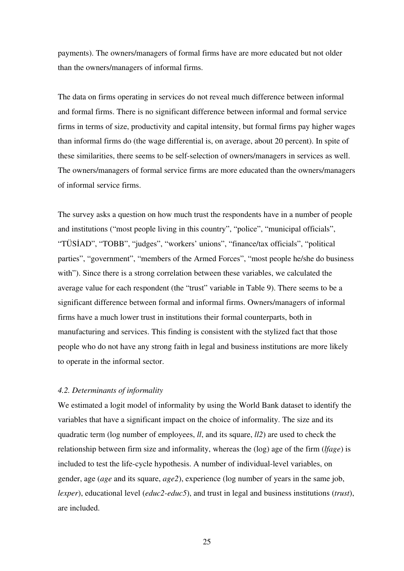payments). The owners/managers of formal firms have are more educated but not older than the owners/managers of informal firms.

The data on firms operating in services do not reveal much difference between informal and formal firms. There is no significant difference between informal and formal service firms in terms of size, productivity and capital intensity, but formal firms pay higher wages than informal firms do (the wage differential is, on average, about 20 percent). In spite of these similarities, there seems to be self-selection of owners/managers in services as well. The owners/managers of formal service firms are more educated than the owners/managers of informal service firms.

The survey asks a question on how much trust the respondents have in a number of people and institutions ("most people living in this country", "police", "municipal officials", "TÜSİAD", "TOBB", "judges", "workers' unions", "finance/tax officials", "political parties", "government", "members of the Armed Forces", "most people he/she do business with"). Since there is a strong correlation between these variables, we calculated the average value for each respondent (the "trust" variable in Table 9). There seems to be a significant difference between formal and informal firms. Owners/managers of informal firms have a much lower trust in institutions their formal counterparts, both in manufacturing and services. This finding is consistent with the stylized fact that those people who do not have any strong faith in legal and business institutions are more likely to operate in the informal sector.

#### *4.2. Determinants of informality*

We estimated a logit model of informality by using the World Bank dataset to identify the variables that have a significant impact on the choice of informality. The size and its quadratic term (log number of employees, *ll*, and its square, *ll2*) are used to check the relationship between firm size and informality, whereas the (log) age of the firm (*lfage*) is included to test the life-cycle hypothesis. A number of individual-level variables, on gender, age (*age* and its square, *age2*), experience (log number of years in the same job, *lexper*), educational level (*educ2-educ5*), and trust in legal and business institutions (*trust*), are included.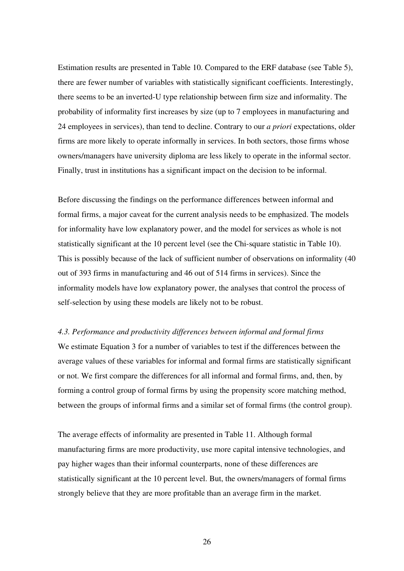Estimation results are presented in Table 10. Compared to the ERF database (see Table 5), there are fewer number of variables with statistically significant coefficients. Interestingly, there seems to be an inverted-U type relationship between firm size and informality. The probability of informality first increases by size (up to 7 employees in manufacturing and 24 employees in services), than tend to decline. Contrary to our *a priori* expectations, older firms are more likely to operate informally in services. In both sectors, those firms whose owners/managers have university diploma are less likely to operate in the informal sector. Finally, trust in institutions has a significant impact on the decision to be informal.

Before discussing the findings on the performance differences between informal and formal firms, a major caveat for the current analysis needs to be emphasized. The models for informality have low explanatory power, and the model for services as whole is not statistically significant at the 10 percent level (see the Chi-square statistic in Table 10). This is possibly because of the lack of sufficient number of observations on informality (40 out of 393 firms in manufacturing and 46 out of 514 firms in services). Since the informality models have low explanatory power, the analyses that control the process of self-selection by using these models are likely not to be robust.

#### *4.3. Performance and productivity differences between informal and formal firms*

We estimate Equation 3 for a number of variables to test if the differences between the average values of these variables for informal and formal firms are statistically significant or not. We first compare the differences for all informal and formal firms, and, then, by forming a control group of formal firms by using the propensity score matching method, between the groups of informal firms and a similar set of formal firms (the control group).

The average effects of informality are presented in Table 11. Although formal manufacturing firms are more productivity, use more capital intensive technologies, and pay higher wages than their informal counterparts, none of these differences are statistically significant at the 10 percent level. But, the owners/managers of formal firms strongly believe that they are more profitable than an average firm in the market.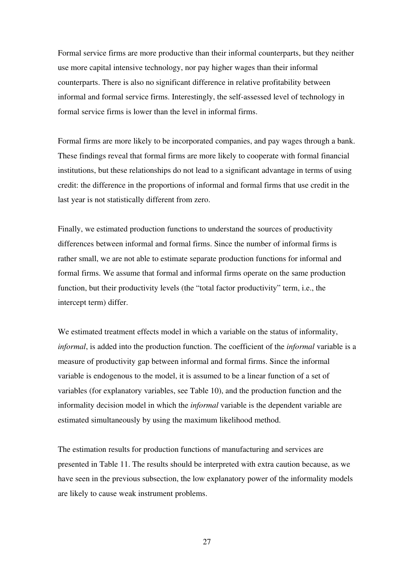Formal service firms are more productive than their informal counterparts, but they neither use more capital intensive technology, nor pay higher wages than their informal counterparts. There is also no significant difference in relative profitability between informal and formal service firms. Interestingly, the self-assessed level of technology in formal service firms is lower than the level in informal firms.

Formal firms are more likely to be incorporated companies, and pay wages through a bank. These findings reveal that formal firms are more likely to cooperate with formal financial institutions, but these relationships do not lead to a significant advantage in terms of using credit: the difference in the proportions of informal and formal firms that use credit in the last year is not statistically different from zero.

Finally, we estimated production functions to understand the sources of productivity differences between informal and formal firms. Since the number of informal firms is rather small, we are not able to estimate separate production functions for informal and formal firms. We assume that formal and informal firms operate on the same production function, but their productivity levels (the "total factor productivity" term, i.e., the intercept term) differ.

We estimated treatment effects model in which a variable on the status of informality, *informal*, is added into the production function. The coefficient of the *informal* variable is a measure of productivity gap between informal and formal firms. Since the informal variable is endogenous to the model, it is assumed to be a linear function of a set of variables (for explanatory variables, see Table 10), and the production function and the informality decision model in which the *informal* variable is the dependent variable are estimated simultaneously by using the maximum likelihood method.

The estimation results for production functions of manufacturing and services are presented in Table 11. The results should be interpreted with extra caution because, as we have seen in the previous subsection, the low explanatory power of the informality models are likely to cause weak instrument problems.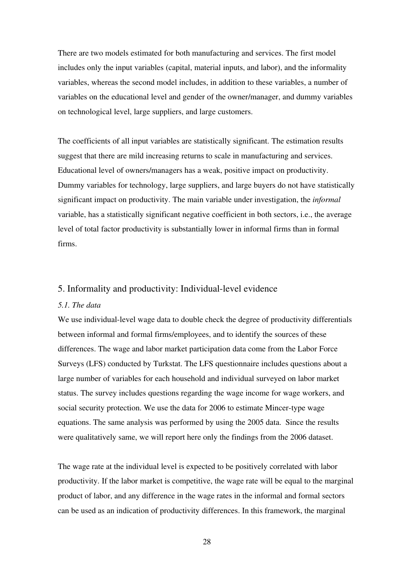There are two models estimated for both manufacturing and services. The first model includes only the input variables (capital, material inputs, and labor), and the informality variables, whereas the second model includes, in addition to these variables, a number of variables on the educational level and gender of the owner/manager, and dummy variables on technological level, large suppliers, and large customers.

The coefficients of all input variables are statistically significant. The estimation results suggest that there are mild increasing returns to scale in manufacturing and services. Educational level of owners/managers has a weak, positive impact on productivity. Dummy variables for technology, large suppliers, and large buyers do not have statistically significant impact on productivity. The main variable under investigation, the *informal* variable, has a statistically significant negative coefficient in both sectors, i.e., the average level of total factor productivity is substantially lower in informal firms than in formal firms.

#### 5. Informality and productivity: Individual-level evidence

#### *5.1. The data*

We use individual-level wage data to double check the degree of productivity differentials between informal and formal firms/employees, and to identify the sources of these differences. The wage and labor market participation data come from the Labor Force Surveys (LFS) conducted by Turkstat. The LFS questionnaire includes questions about a large number of variables for each household and individual surveyed on labor market status. The survey includes questions regarding the wage income for wage workers, and social security protection. We use the data for 2006 to estimate Mincer-type wage equations. The same analysis was performed by using the 2005 data. Since the results were qualitatively same, we will report here only the findings from the 2006 dataset.

The wage rate at the individual level is expected to be positively correlated with labor productivity. If the labor market is competitive, the wage rate will be equal to the marginal product of labor, and any difference in the wage rates in the informal and formal sectors can be used as an indication of productivity differences. In this framework, the marginal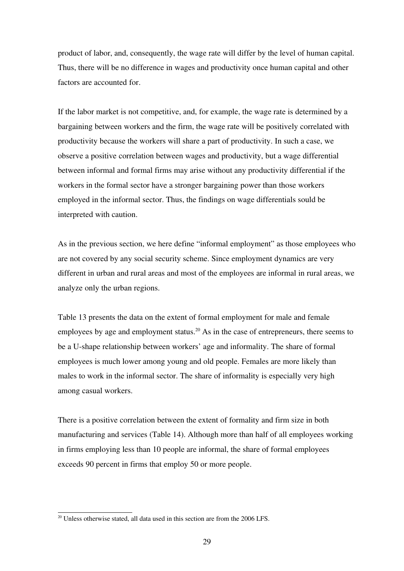product of labor, and, consequently, the wage rate will differ by the level of human capital. Thus, there will be no difference in wages and productivity once human capital and other factors are accounted for.

If the labor market is not competitive, and, for example, the wage rate is determined by a bargaining between workers and the firm, the wage rate will be positively correlated with productivity because the workers will share a part of productivity. In such a case, we observe a positive correlation between wages and productivity, but a wage differential between informal and formal firms may arise without any productivity differential if the workers in the formal sector have a stronger bargaining power than those workers employed in the informal sector. Thus, the findings on wage differentials sould be interpreted with caution.

As in the previous section, we here define "informal employment" as those employees who are not covered by any social security scheme. Since employment dynamics are very different in urban and rural areas and most of the employees are informal in rural areas, we analyze only the urban regions.

Table 13 presents the data on the extent of formal employment for male and female employees by age and employment status.<sup>[20](#page-28-0)</sup> As in the case of entrepreneurs, there seems to be a U-shape relationship between workers' age and informality. The share of formal employees is much lower among young and old people. Females are more likely than males to work in the informal sector. The share of informality is especially very high among casual workers.

There is a positive correlation between the extent of formality and firm size in both manufacturing and services (Table 14). Although more than half of all employees working in firms employing less than 10 people are informal, the share of formal employees exceeds 90 percent in firms that employ 50 or more people.

<span id="page-28-0"></span><sup>&</sup>lt;sup>20</sup> Unless otherwise stated, all data used in this section are from the 2006 LFS.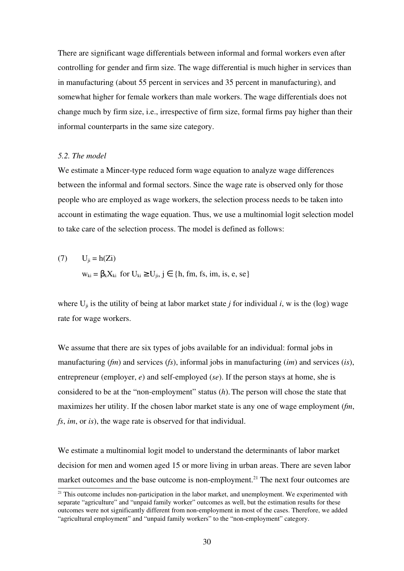There are significant wage differentials between informal and formal workers even after controlling for gender and firm size. The wage differential is much higher in services than in manufacturing (about 55 percent in services and 35 percent in manufacturing), and somewhat higher for female workers than male workers. The wage differentials does not change much by firm size, i.e., irrespective of firm size, formal firms pay higher than their informal counterparts in the same size category.

#### *5.2. The model*

We estimate a Mincer-type reduced form wage equation to analyze wage differences between the informal and formal sectors. Since the wage rate is observed only for those people who are employed as wage workers, the selection process needs to be taken into account in estimating the wage equation. Thus, we use a multinomial logit selection model to take care of the selection process. The model is defined as follows:

(7) 
$$
U_{ji} = h(Zi)
$$

$$
w_{ki} = \beta_k X_{ki} \text{ for } U_{ki} \ge U_{ji}, j \in \{h, fm, fs, im, is, e, se\}
$$

where  $U_{ii}$  is the utility of being at labor market state *j* for individual *i*, w is the (log) wage rate for wage workers.

We assume that there are six types of jobs available for an individual: formal jobs in manufacturing (*fm*) and services (*fs*), informal jobs in manufacturing (*im*) and services (*is*), entrepreneur (employer,  $e$ ) and self-employed ( $se$ ). If the person stays at home, she is considered to be at the "non-employment" status (h). The person will chose the state that maximizes her utility. If the chosen labor market state is any one of wage employment (*fm*, *fs*, *im*, or *is*), the wage rate is observed for that individual.

We estimate a multinomial logit model to understand the determinants of labor market decision for men and women aged 15 or more living in urban areas. There are seven labor market outcomes and the base outcome is non-employment.<sup>[21](#page-29-0)</sup> The next four outcomes are

<span id="page-29-0"></span> $21$  This outcome includes non-participation in the labor market, and unemployment. We experimented with separate "agriculture" and "unpaid family worker" outcomes as well, but the estimation results for these outcomes were not significantly different from nonemployment in most of the cases. Therefore, we added "agricultural employment" and "unpaid family workers" to the "non-employment" category.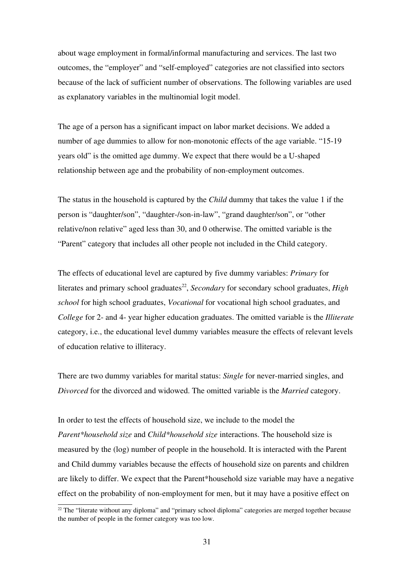about wage employment in formal/informal manufacturing and services. The last two outcomes, the "employer" and "self-employed" categories are not classified into sectors because of the lack of sufficient number of observations. The following variables are used as explanatory variables in the multinomial logit model.

The age of a person has a significant impact on labor market decisions. We added a number of age dummies to allow for non-monotonic effects of the age variable. "15-19 years old" is the omitted age dummy. We expect that there would be a U-shaped relationship between age and the probability of non-employment outcomes.

The status in the household is captured by the *Child* dummy that takes the value 1 if the person is "daughter/son", "daughter-/son-in-law", "grand daughter/son", or "other relative/non relative" aged less than 30, and 0 otherwise. The omitted variable is the "Parent" category that includes all other people not included in the Child category.

The effects of educational level are captured by five dummy variables: *Primary* for literates and primary school graduates<sup>[22](#page-30-0)</sup>, *Secondary* for secondary school graduates, *High school* for high school graduates, *Vocational* for vocational high school graduates, and *College* for 2- and 4- year higher education graduates. The omitted variable is the *Illiterate* category, i.e., the educational level dummy variables measure the effects of relevant levels of education relative to illiteracy.

There are two dummy variables for marital status: *Single* for never-married singles, and *Divorced* for the divorced and widowed. The omitted variable is the *Married* category.

In order to test the effects of household size, we include to the model the *Parent\*household size* and *Child\*household size* interactions. The household size is measured by the (log) number of people in the household. It is interacted with the Parent and Child dummy variables because the effects of household size on parents and children are likely to differ. We expect that the Parent\*household size variable may have a negative effect on the probability of non-employment for men, but it may have a positive effect on

<span id="page-30-0"></span> $22$  The "literate without any diploma" and "primary school diploma" categories are merged together because the number of people in the former category was too low.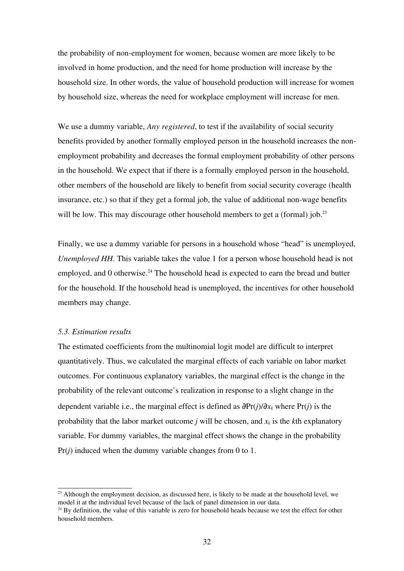the probability of non-employment for women, because women are more likely to be involved in home production, and the need for home production will increase by the household size. In other words, the value of household production will increase for women by household size, whereas the need for workplace employment will increase for men.

We use a dummy variable, *Any registered*, to test if the availability of social security benefits provided by another formally employed person in the household increases the nonemployment probability and decreases the formal employment probability of other persons in the household. We expect that if there is a formally employed person in the household, other members of the household are likely to benefit from social security coverage (health insurance, etc.) so that if they get a formal job, the value of additional nonwage benefits will be low. This may discourage other household members to get a (formal) job.<sup>[23](#page-31-0)</sup>

Finally, we use a dummy variable for persons in a household whose "head" is unemployed, *Unemployed HH*. This variable takes the value 1 for a person whose household head is not employed, and  $0$  otherwise.<sup>[24](#page-31-1)</sup> The household head is expected to earn the bread and butter for the household. If the household head is unemployed, the incentives for other household members may change.

#### *5.3. Estimation results*

The estimated coefficients from the multinomial logit model are difficult to interpret quantitatively. Thus, we calculated the marginal effects of each variable on labor market outcomes. For continuous explanatory variables, the marginal effect is the change in the probability of the relevant outcome's realization in response to a slight change in the dependent variable i.e., the marginal effect is defined as ∂Pr(*j*)/∂*xk* where Pr(*j*) is the probability that the labor market outcome *j* will be chosen, and  $x_k$  is the *k*th explanatory variable. For dummy variables, the marginal effect shows the change in the probability Pr(*j*) induced when the dummy variable changes from 0 to 1.

<span id="page-31-0"></span> $^{23}$  Although the employment decision, as discussed here, is likely to be made at the household level, we model it at the individual level because of the lack of panel dimension in our data.

<span id="page-31-1"></span> $^{24}$  By definition, the value of this variable is zero for household heads because we test the effect for other household members.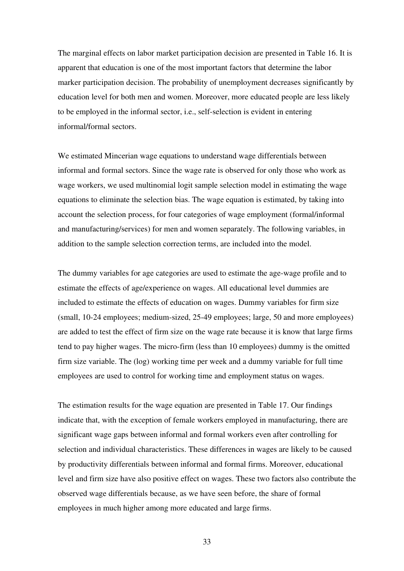The marginal effects on labor market participation decision are presented in Table 16. It is apparent that education is one of the most important factors that determine the labor marker participation decision. The probability of unemployment decreases significantly by education level for both men and women. Moreover, more educated people are less likely to be employed in the informal sector, i.e., self-selection is evident in entering informal/formal sectors.

We estimated Mincerian wage equations to understand wage differentials between informal and formal sectors. Since the wage rate is observed for only those who work as wage workers, we used multinomial logit sample selection model in estimating the wage equations to eliminate the selection bias. The wage equation is estimated, by taking into account the selection process, for four categories of wage employment (formal/informal and manufacturing/services) for men and women separately. The following variables, in addition to the sample selection correction terms, are included into the model.

The dummy variables for age categories are used to estimate the age-wage profile and to estimate the effects of age/experience on wages. All educational level dummies are included to estimate the effects of education on wages. Dummy variables for firm size (small, 10-24 employees; medium-sized, 25-49 employees; large, 50 and more employees) are added to test the effect of firm size on the wage rate because it is know that large firms tend to pay higher wages. The micro-firm (less than 10 employees) dummy is the omitted firm size variable. The (log) working time per week and a dummy variable for full time employees are used to control for working time and employment status on wages.

The estimation results for the wage equation are presented in Table 17. Our findings indicate that, with the exception of female workers employed in manufacturing, there are significant wage gaps between informal and formal workers even after controlling for selection and individual characteristics. These differences in wages are likely to be caused by productivity differentials between informal and formal firms. Moreover, educational level and firm size have also positive effect on wages. These two factors also contribute the observed wage differentials because, as we have seen before, the share of formal employees in much higher among more educated and large firms.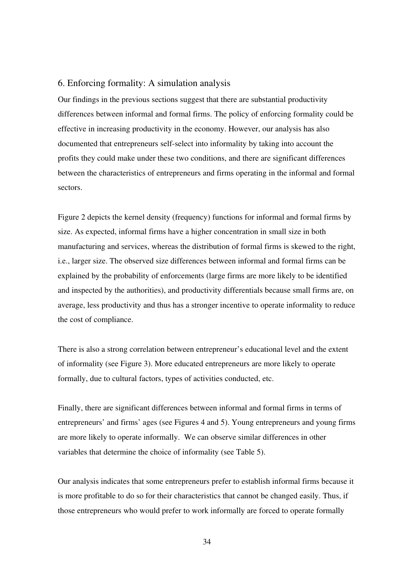#### 6. Enforcing formality: A simulation analysis

Our findings in the previous sections suggest that there are substantial productivity differences between informal and formal firms. The policy of enforcing formality could be effective in increasing productivity in the economy. However, our analysis has also documented that entrepreneurs self-select into informality by taking into account the profits they could make under these two conditions, and there are significant differences between the characteristics of entrepreneurs and firms operating in the informal and formal sectors.

Figure 2 depicts the kernel density (frequency) functions for informal and formal firms by size. As expected, informal firms have a higher concentration in small size in both manufacturing and services, whereas the distribution of formal firms is skewed to the right, i.e., larger size. The observed size differences between informal and formal firms can be explained by the probability of enforcements (large firms are more likely to be identified and inspected by the authorities), and productivity differentials because small firms are, on average, less productivity and thus has a stronger incentive to operate informality to reduce the cost of compliance.

There is also a strong correlation between entrepreneur's educational level and the extent of informality (see Figure 3). More educated entrepreneurs are more likely to operate formally, due to cultural factors, types of activities conducted, etc.

Finally, there are significant differences between informal and formal firms in terms of entrepreneurs' and firms' ages (see Figures 4 and 5). Young entrepreneurs and young firms are more likely to operate informally. We can observe similar differences in other variables that determine the choice of informality (see Table 5).

Our analysis indicates that some entrepreneurs prefer to establish informal firms because it is more profitable to do so for their characteristics that cannot be changed easily. Thus, if those entrepreneurs who would prefer to work informally are forced to operate formally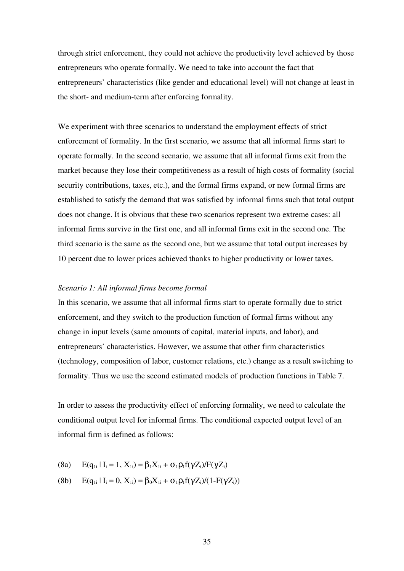through strict enforcement, they could not achieve the productivity level achieved by those entrepreneurs who operate formally. We need to take into account the fact that entrepreneurs' characteristics (like gender and educational level) will not change at least in the short- and medium-term after enforcing formality.

We experiment with three scenarios to understand the employment effects of strict enforcement of formality. In the first scenario, we assume that all informal firms start to operate formally. In the second scenario, we assume that all informal firms exit from the market because they lose their competitiveness as a result of high costs of formality (social security contributions, taxes, etc.), and the formal firms expand, or new formal firms are established to satisfy the demand that was satisfied by informal firms such that total output does not change. It is obvious that these two scenarios represent two extreme cases: all informal firms survive in the first one, and all informal firms exit in the second one. The third scenario is the same as the second one, but we assume that total output increases by 10 percent due to lower prices achieved thanks to higher productivity or lower taxes.

#### *Scenario 1: All informal firms become formal*

In this scenario, we assume that all informal firms start to operate formally due to strict enforcement, and they switch to the production function of formal firms without any change in input levels (same amounts of capital, material inputs, and labor), and entrepreneurs' characteristics. However, we assume that other firm characteristics (technology, composition of labor, customer relations, etc.) change as a result switching to formality. Thus we use the second estimated models of production functions in Table 7.

In order to assess the productivity effect of enforcing formality, we need to calculate the conditional output level for informal firms. The conditional expected output level of an informal firm is defined as follows:

- (8a)  $E(q_{1i} | I_i = 1, X_{1i}) = \beta_1 X_{1i} + \sigma_1 \rho_1 f(\gamma Z_i)/F(\gamma Z_i)$
- (8b)  $E(q_{1i} | I_i = 0, X_{1i}) = \beta_0 X_{1i} + \sigma_1 \rho_1 f(\gamma Z_i)/(1 F(\gamma Z_i))$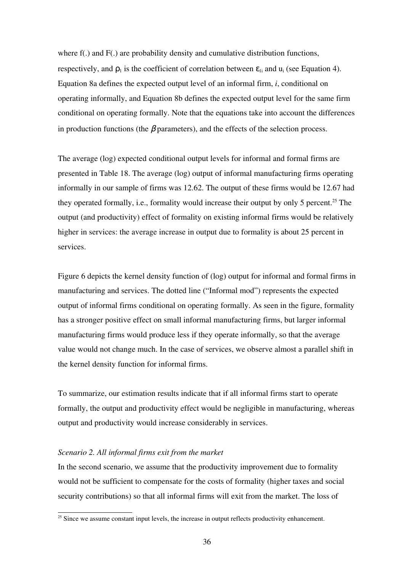where f(.) and F(.) are probability density and cumulative distribution functions, respectively, and  $\rho_1$  is the coefficient of correlation between  $\varepsilon_{1i}$  and  $u_i$  (see Equation 4). Equation 8a defines the expected output level of an informal firm, *i*, conditional on operating informally, and Equation 8b defines the expected output level for the same firm conditional on operating formally. Note that the equations take into account the differences in production functions (the  $\beta$  parameters), and the effects of the selection process.

The average (log) expected conditional output levels for informal and formal firms are presented in Table 18. The average (log) output of informal manufacturing firms operating informally in our sample of firms was 12.62. The output of these firms would be 12.67 had they operated formally, i.e., formality would increase their output by only 5 percent.<sup>[25](#page-35-0)</sup> The output (and productivity) effect of formality on existing informal firms would be relatively higher in services: the average increase in output due to formality is about 25 percent in services.

Figure 6 depicts the kernel density function of (log) output for informal and formal firms in manufacturing and services. The dotted line ("Informal mod") represents the expected output of informal firms conditional on operating formally. As seen in the figure, formality has a stronger positive effect on small informal manufacturing firms, but larger informal manufacturing firms would produce less if they operate informally, so that the average value would not change much. In the case of services, we observe almost a parallel shift in the kernel density function for informal firms.

To summarize, our estimation results indicate that if all informal firms start to operate formally, the output and productivity effect would be negligible in manufacturing, whereas output and productivity would increase considerably in services.

#### *Scenario 2. All informal firms exit from the market*

In the second scenario, we assume that the productivity improvement due to formality would not be sufficient to compensate for the costs of formality (higher taxes and social security contributions) so that all informal firms will exit from the market. The loss of

<span id="page-35-0"></span><sup>&</sup>lt;sup>25</sup> Since we assume constant input levels, the increase in output reflects productivity enhancement.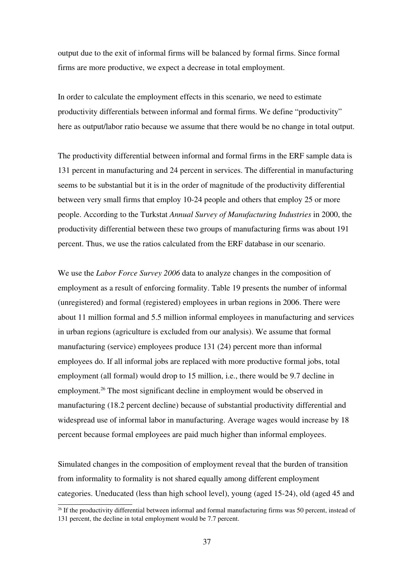output due to the exit of informal firms will be balanced by formal firms. Since formal firms are more productive, we expect a decrease in total employment.

In order to calculate the employment effects in this scenario, we need to estimate productivity differentials between informal and formal firms. We define "productivity" here as output/labor ratio because we assume that there would be no change in total output.

The productivity differential between informal and formal firms in the ERF sample data is 131 percent in manufacturing and 24 percent in services. The differential in manufacturing seems to be substantial but it is in the order of magnitude of the productivity differential between very small firms that employ 10-24 people and others that employ 25 or more people. According to the Turkstat *Annual Survey of Manufacturing Industries* in 2000, the productivity differential between these two groups of manufacturing firms was about 191 percent. Thus, we use the ratios calculated from the ERF database in our scenario.

We use the *Labor Force Survey 2006* data to analyze changes in the composition of employment as a result of enforcing formality. Table 19 presents the number of informal (unregistered) and formal (registered) employees in urban regions in 2006. There were about 11 million formal and 5.5 million informal employees in manufacturing and services in urban regions (agriculture is excluded from our analysis). We assume that formal manufacturing (service) employees produce 131 (24) percent more than informal employees do. If all informal jobs are replaced with more productive formal jobs, total employment (all formal) would drop to 15 million, i.e., there would be 9.7 decline in employment.<sup>[26](#page-36-0)</sup> The most significant decline in employment would be observed in manufacturing (18.2 percent decline) because of substantial productivity differential and widespread use of informal labor in manufacturing. Average wages would increase by 18 percent because formal employees are paid much higher than informal employees.

Simulated changes in the composition of employment reveal that the burden of transition from informality to formality is not shared equally among different employment categories. Uneducated (less than high school level), young (aged 1524), old (aged 45 and

<span id="page-36-0"></span> $^{26}$  If the productivity differential between informal and formal manufacturing firms was 50 percent, instead of 131 percent, the decline in total employment would be 7.7 percent.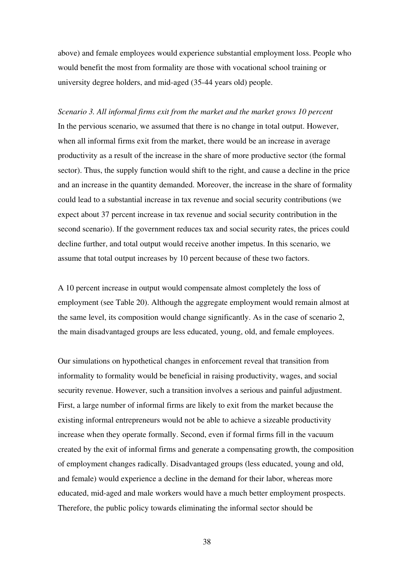above) and female employees would experience substantial employment loss. People who would benefit the most from formality are those with vocational school training or university degree holders, and mid-aged (35-44 years old) people.

*Scenario 3. All informal firms exit from the market and the market grows 10 percent* In the pervious scenario, we assumed that there is no change in total output. However, when all informal firms exit from the market, there would be an increase in average productivity as a result of the increase in the share of more productive sector (the formal sector). Thus, the supply function would shift to the right, and cause a decline in the price and an increase in the quantity demanded. Moreover, the increase in the share of formality could lead to a substantial increase in tax revenue and social security contributions (we expect about 37 percent increase in tax revenue and social security contribution in the second scenario). If the government reduces tax and social security rates, the prices could decline further, and total output would receive another impetus. In this scenario, we assume that total output increases by 10 percent because of these two factors.

A 10 percent increase in output would compensate almost completely the loss of employment (see Table 20). Although the aggregate employment would remain almost at the same level, its composition would change significantly. As in the case of scenario 2, the main disadvantaged groups are less educated, young, old, and female employees.

Our simulations on hypothetical changes in enforcement reveal that transition from informality to formality would be beneficial in raising productivity, wages, and social security revenue. However, such a transition involves a serious and painful adjustment. First, a large number of informal firms are likely to exit from the market because the existing informal entrepreneurs would not be able to achieve a sizeable productivity increase when they operate formally. Second, even if formal firms fill in the vacuum created by the exit of informal firms and generate a compensating growth, the composition of employment changes radically. Disadvantaged groups (less educated, young and old, and female) would experience a decline in the demand for their labor, whereas more educated, mid-aged and male workers would have a much better employment prospects. Therefore, the public policy towards eliminating the informal sector should be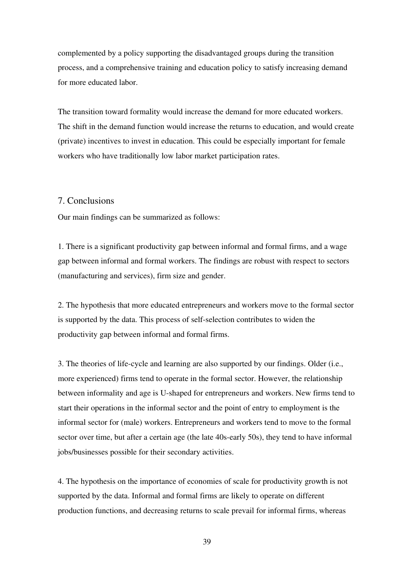complemented by a policy supporting the disadvantaged groups during the transition process, and a comprehensive training and education policy to satisfy increasing demand for more educated labor.

The transition toward formality would increase the demand for more educated workers. The shift in the demand function would increase the returns to education, and would create (private) incentives to invest in education. This could be especially important for female workers who have traditionally low labor market participation rates.

#### 7. Conclusions

Our main findings can be summarized as follows:

1. There is a significant productivity gap between informal and formal firms, and a wage gap between informal and formal workers. The findings are robust with respect to sectors (manufacturing and services), firm size and gender.

2. The hypothesis that more educated entrepreneurs and workers move to the formal sector is supported by the data. This process of self-selection contributes to widen the productivity gap between informal and formal firms.

3. The theories of life-cycle and learning are also supported by our findings. Older (i.e., more experienced) firms tend to operate in the formal sector. However, the relationship between informality and age is U-shaped for entrepreneurs and workers. New firms tend to start their operations in the informal sector and the point of entry to employment is the informal sector for (male) workers. Entrepreneurs and workers tend to move to the formal sector over time, but after a certain age (the late 40s-early 50s), they tend to have informal jobs/businesses possible for their secondary activities.

4. The hypothesis on the importance of economies of scale for productivity growth is not supported by the data. Informal and formal firms are likely to operate on different production functions, and decreasing returns to scale prevail for informal firms, whereas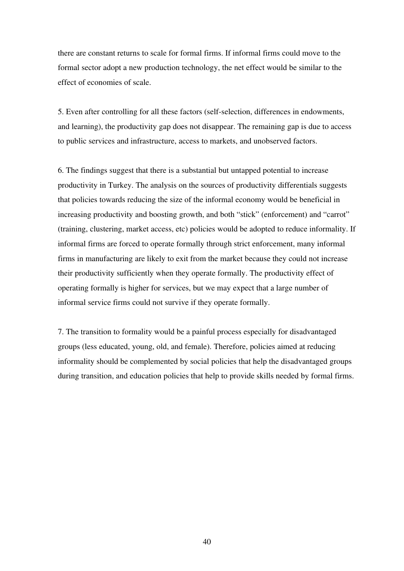there are constant returns to scale for formal firms. If informal firms could move to the formal sector adopt a new production technology, the net effect would be similar to the effect of economies of scale.

5. Even after controlling for all these factors (self-selection, differences in endowments, and learning), the productivity gap does not disappear. The remaining gap is due to access to public services and infrastructure, access to markets, and unobserved factors.

6. The findings suggest that there is a substantial but untapped potential to increase productivity in Turkey. The analysis on the sources of productivity differentials suggests that policies towards reducing the size of the informal economy would be beneficial in increasing productivity and boosting growth, and both "stick" (enforcement) and "carrot" (training, clustering, market access, etc) policies would be adopted to reduce informality. If informal firms are forced to operate formally through strict enforcement, many informal firms in manufacturing are likely to exit from the market because they could not increase their productivity sufficiently when they operate formally. The productivity effect of operating formally is higher for services, but we may expect that a large number of informal service firms could not survive if they operate formally.

7. The transition to formality would be a painful process especially for disadvantaged groups (less educated, young, old, and female). Therefore, policies aimed at reducing informality should be complemented by social policies that help the disadvantaged groups during transition, and education policies that help to provide skills needed by formal firms.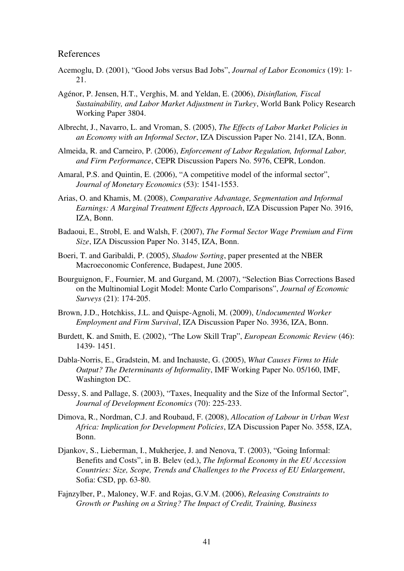#### References

- Acemoglu, D. (2001), "Good Jobs versus Bad Jobs", *Journal of Labor Economics* (19): 1 21.
- Agénor, P. Jensen, H.T., Verghis, M. and Yeldan, E. (2006), *Disinflation, Fiscal Sustainability, and Labor Market Adjustment in Turkey*, World Bank Policy Research Working Paper 3804.
- Albrecht, J., Navarro, L. and Vroman, S. (2005), *The Effects of Labor Market Policies in an Economy with an Informal Sector*, IZA Discussion Paper No. 2141, IZA, Bonn.
- Almeida, R. and Carneiro, P. (2006), *Enforcement of Labor Regulation, Informal Labor, and Firm Performance*, CEPR Discussion Papers No. 5976, CEPR, London.
- Amaral, P.S. and Quintin, E. (2006), "A competitive model of the informal sector", *Journal of Monetary Economics* (53): 1541-1553.
- Arias, O. and Khamis, M. (2008), *Comparative Advantage, Segmentation and Informal Earnings: A Marginal Treatment Effects Approach*, IZA Discussion Paper No. 3916, IZA, Bonn.
- Badaoui, E., Strobl, E. and Walsh, F. (2007), *The Formal Sector Wage Premium and Firm Size*, IZA Discussion Paper No. 3145, IZA, Bonn.
- Boeri, T. and Garibaldi, P. (2005), *Shadow Sorting*, paper presented at the NBER Macroeconomic Conference, Budapest, June 2005.
- Bourguignon, F., Fournier, M. and Gurgand, M. (2007), "Selection Bias Corrections Based on the Multinomial Logit Model: Monte Carlo Comparisons", *Journal of Economic Surveys* (21): 174-205.
- Brown, J.D., Hotchkiss, J.L. and Quispe-Agnoli, M. (2009), *Undocumented Worker Employment and Firm Survival*, IZA Discussion Paper No. 3936, IZA, Bonn.
- Burdett, K. and Smith, E. (2002), "The Low Skill Trap", *European Economic Review* (46): 1439 1451.
- Dabla-Norris, E., Gradstein, M. and Inchauste, G. (2005), *What Causes Firms to Hide Output? The Determinants of Informality*, IMF Working Paper No. 05/160, IMF, Washington DC.
- Dessy, S. and Pallage, S. (2003), "Taxes, Inequality and the Size of the Informal Sector", Journal of Development Economics (70): 225-233.
- Dimova, R., Nordman, C.J. and Roubaud, F. (2008), *Allocation of Labour in Urban West Africa: Implication for Development Policies*, IZA Discussion Paper No. 3558, IZA, Bonn.
- Djankov, S., Lieberman, I., Mukherjee, J. and Nenova, T. (2003), "Going Informal: Benefits and Costs", in B. Belev (ed.), *The Informal Economy in the EU Accession Countries: Size, Scope, Trends and Challenges to the Process of EU Enlargement*, Sofia: CSD, pp. 63-80.
- Fajnzylber, P., Maloney, W.F. and Rojas, G.V.M. (2006), *Releasing Constraints to Growth or Pushing on a String? The Impact of Credit, Training, Business*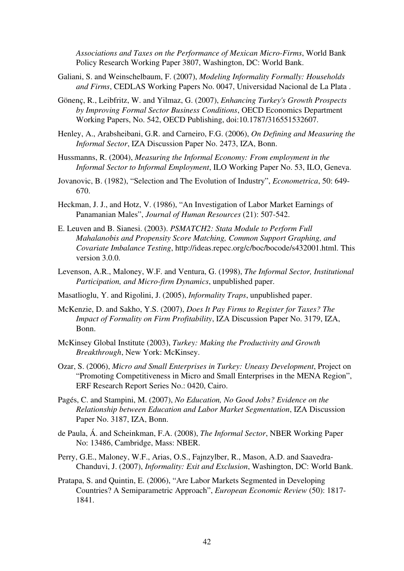Associations and Taxes on the Performance of Mexican Micro-Firms, World Bank Policy Research Working Paper 3807, Washington, DC: World Bank.

- Galiani, S. and Weinschelbaum, F. (2007), *Modeling Informality Formally: Households and Firms*, CEDLAS Working Papers No. 0047, Universidad Nacional de La Plata .
- Gönenç, R., Leibfritz, W. and Yilmaz, G. (2007), *Enhancing Turkey's Growth Prospects by Improving Formal Sector Business Conditions*, OECD Economics Department Working Papers, No. 542, OECD Publishing, doi:10.1787/316551532607.
- Henley, A., Arabsheibani, G.R. and Carneiro, F.G. (2006), *On Defining and Measuring the Informal Sector*, IZA Discussion Paper No. 2473, IZA, Bonn.
- Hussmanns, R. (2004), *Measuring the Informal Economy: From employment in the Informal Sector to Informal Employment*, ILO Working Paper No. 53, ILO, Geneva.
- Jovanovic, B. (1982), "Selection and The Evolution of Industry", *Econometrica*, 50: 649 670.
- Heckman, J. J., and Hotz, V. (1986), "An Investigation of Labor Market Earnings of Panamanian Males", *Journal of Human Resources* (21): 507-542.
- E. Leuven and B. Sianesi. (2003). *PSMATCH2: Stata Module to Perform Full Mahalanobis and Propensity Score Matching, Common Support Graphing, and Covariate Imbalance Testing*, http://ideas.repec.org/c/boc/bocode/s432001.html. This version 3.0.0.
- Levenson, A.R., Maloney, W.F. and Ventura, G. (1998), *The Informal Sector, Institutional Participation, and Micro-firm Dynamics, unpublished paper.*
- Masatlioglu, Y. and Rigolini, J. (2005), *Informality Traps*, unpublished paper.
- McKenzie, D. and Sakho, Y.S. (2007), *Does It Pay Firms to Register for Taxes? The Impact of Formality on Firm Profitability*, IZA Discussion Paper No. 3179, IZA, Bonn.
- McKinsey Global Institute (2003), *Turkey: Making the Productivity and Growth Breakthrough*, New York: McKinsey.
- Ozar, S. (2006), *Micro and Small Enterprises in Turkey: Uneasy Development*, Project on "Promoting Competitiveness in Micro and Small Enterprises in the MENA Region", ERF Research Report Series No.: 0420, Cairo.
- Pagés, C. and Stampini, M. (2007), *No Education, No Good Jobs? Evidence on the Relationship between Education and Labor Market Segmentation*, IZA Discussion Paper No. 3187, IZA, Bonn.
- de Paula, Á. and Scheinkman, F.A. (2008), *The Informal Sector*, NBER Working Paper No: 13486, Cambridge, Mass: NBER.
- Perry, G.E., Maloney, W.F., Arias, O.S., Fajnzylber, R., Mason, A.D. and Saavedra-Chanduvi, J. (2007), *Informality: Exit and Exclusion*, Washington, DC: World Bank.
- Pratapa, S. and Quintin, E. (2006), "Are Labor Markets Segmented in Developing Countries? A Semiparametric Approach", *European Economic Review* (50): 1817 1841.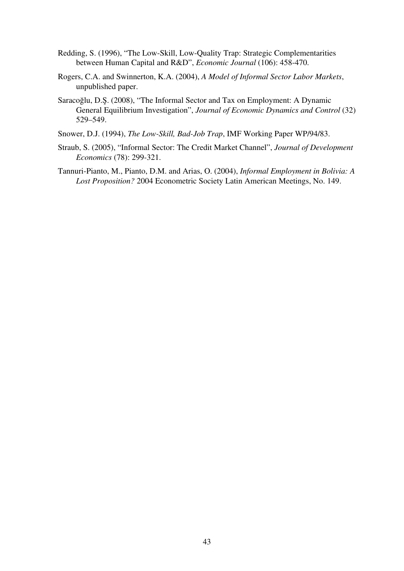- Redding, S. (1996), "The Low-Skill, Low-Quality Trap: Strategic Complementarities between Human Capital and R&D", *Economic Journal* (106): 458-470.
- Rogers, C.A. and Swinnerton, K.A. (2004), *A Model of Informal Sector Labor Markets*, unpublished paper.
- Saracoğlu, D.Ş. (2008), "The Informal Sector and Tax on Employment: A Dynamic General Equilibrium Investigation", *Journal of Economic Dynamics and Control* (32) 529–549.
- Snower, D.J. (1994), *The Low-Skill, Bad-Job Trap*, IMF Working Paper WP/94/83.
- Straub, S. (2005), "Informal Sector: The Credit Market Channel", *Journal of Development Economics* (78): 299-321.
- Tannuri-Pianto, M., Pianto, D.M. and Arias, O. (2004), *Informal Employment in Bolivia: A Lost Proposition?* 2004 Econometric Society Latin American Meetings, No. 149.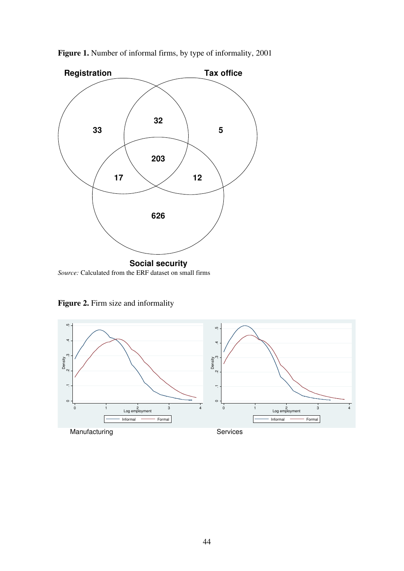

Figure 1. Number of informal firms, by type of informality, 2001

Figure 2. Firm size and informality

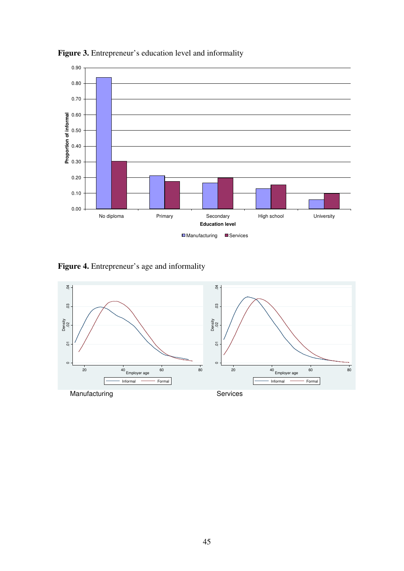

Figure 3. Entrepreneur's education level and informality

Figure 4. Entrepreneur's age and informality

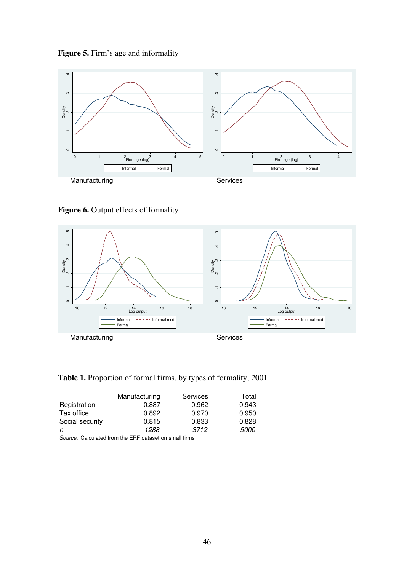



Figure 6. Output effects of formality



Table 1. Proportion of formal firms, by types of formality, 2001

|                 | Manufacturing | <b>Services</b> | Total       |
|-----------------|---------------|-----------------|-------------|
| Registration    | 0.887         | 0.962           | 0.943       |
| Tax office      | 0.892         | 0.970           | 0.950       |
| Social security | 0.815         | 0.833           | 0.828       |
|                 | 1288          | 3712            | <i>5000</i> |

*Source:*  Calculated from the ERF dataset on small firms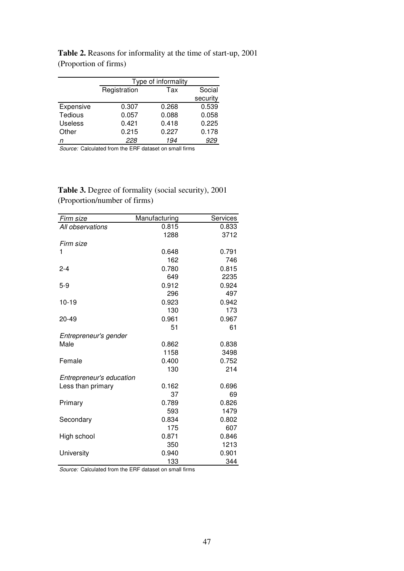|                | Type of informality |       |          |  |  |
|----------------|---------------------|-------|----------|--|--|
|                | Registration<br>Tax |       |          |  |  |
|                |                     |       | security |  |  |
| Expensive      | 0.307               | 0.268 | 0.539    |  |  |
| <b>Tedious</b> | 0.057               | 0.088 | 0.058    |  |  |
| <b>Useless</b> | 0.421               | 0.418 | 0.225    |  |  |
| Other          | 0.215               | 0.227 | 0.178    |  |  |
| n              | 228                 | 194   | 929      |  |  |

Table 2. Reasons for informality at the time of start-up, 2001 (Proportion of firms)

*Source:*  Calculated from the ERF dataset on small firms

| <b>Table 3.</b> Degree of formality (social security), 2001 |
|-------------------------------------------------------------|
| (Proportion/number of firms)                                |

| Firm size                | Manufacturing | Services |
|--------------------------|---------------|----------|
| All observations         | 0.815         | 0.833    |
|                          | 1288          | 3712     |
| Firm size                |               |          |
| 1                        | 0.648         | 0.791    |
|                          | 162           | 746      |
| $2 - 4$                  | 0.780         | 0.815    |
|                          | 649           | 2235     |
| $5-9$                    | 0.912         | 0.924    |
|                          | 296           | 497      |
| $10 - 19$                | 0.923         | 0.942    |
|                          | 130           | 173      |
| 20-49                    | 0.961         | 0.967    |
|                          | 51            | 61       |
| Entrepreneur's gender    |               |          |
| Male                     | 0.862         | 0.838    |
|                          | 1158          | 3498     |
| Female                   | 0.400         | 0.752    |
|                          | 130           | 214      |
| Entrepreneur's education |               |          |
| Less than primary        | 0.162         | 0.696    |
|                          | 37            | 69       |
| Primary                  | 0.789         | 0.826    |
|                          | 593           | 1479     |
| Secondary                | 0.834         | 0.802    |
|                          | 175           | 607      |
| High school              | 0.871         | 0.846    |
|                          | 350           | 1213     |
| University               | 0.940         | 0.901    |
|                          | 133           | 344      |

*Source:*  Calculated from the ERF dataset on small firms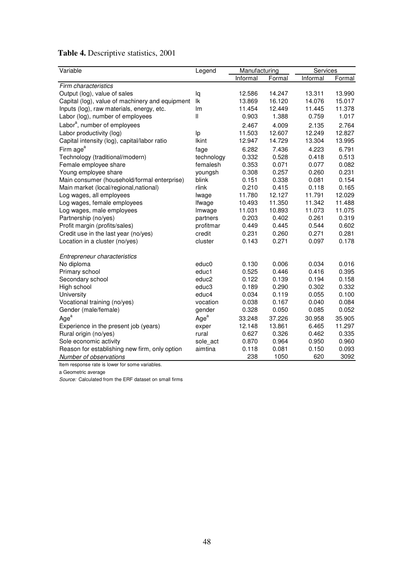| Table 4. Descriptive statistics, 2001 |  |  |
|---------------------------------------|--|--|
|---------------------------------------|--|--|

| Variable                                        | Legend            | Manufacturing |        | Services |        |  |
|-------------------------------------------------|-------------------|---------------|--------|----------|--------|--|
|                                                 |                   | Informal      | Formal | Informal | Formal |  |
| Firm characteristics                            |                   |               |        |          |        |  |
| Output (log), value of sales                    | lq                | 12.586        | 14.247 | 13.311   | 13.990 |  |
| Capital (log), value of machinery and equipment | lk                | 13.869        | 16.120 | 14.076   | 15.017 |  |
| Inputs (log), raw materials, energy, etc.       | Im                | 11.454        | 12.449 | 11.445   | 11.378 |  |
| Labor (log), number of employees                | Ш                 | 0.903         | 1.388  | 0.759    | 1.017  |  |
| Labor <sup>a</sup> , number of employees        |                   | 2.467         | 4.009  | 2.135    | 2.764  |  |
| Labor productivity (log)                        | lp                | 11.503        | 12.607 | 12.249   | 12.827 |  |
| Capital intensity (log), capital/labor ratio    | <b>Ikint</b>      | 12.947        | 14.729 | 13.304   | 13.995 |  |
| Firm age <sup>a</sup>                           | fage              | 6.282         | 7.436  | 4.223    | 6.791  |  |
| Technology (traditional/modern)                 | technology        | 0.332         | 0.528  | 0.418    | 0.513  |  |
| Female employee share                           | femalesh          | 0.353         | 0.071  | 0.077    | 0.082  |  |
| Young employee share                            | youngsh           | 0.308         | 0.257  | 0.260    | 0.231  |  |
| Main consumer (household/formal enterprise)     | blink             | 0.151         | 0.338  | 0.081    | 0.154  |  |
| Main market (local/regional, national)          | rlink             | 0.210         | 0.415  | 0.118    | 0.165  |  |
| Log wages, all employees                        | lwage             | 11.780        | 12.127 | 11.791   | 12.029 |  |
| Log wages, female employees                     | Ifwage            | 10.493        | 11.350 | 11.342   | 11.488 |  |
| Log wages, male employees                       | Imwage            | 11.031        | 10.893 | 11.073   | 11.075 |  |
| Partnership (no/yes)                            | partners          | 0.203         | 0.402  | 0.261    | 0.319  |  |
| Profit margin (profits/sales)                   | profitmar         | 0.449         | 0.445  | 0.544    | 0.602  |  |
| Credit use in the last year (no/yes)            | credit            | 0.231         | 0.260  | 0.271    | 0.281  |  |
| Location in a cluster (no/yes)                  | cluster           | 0.143         | 0.271  | 0.097    | 0.178  |  |
| Entrepreneur characteristics                    |                   |               |        |          |        |  |
| No diploma                                      | educ0             | 0.130         | 0.006  | 0.034    | 0.016  |  |
| Primary school                                  | educ1             | 0.525         | 0.446  | 0.416    | 0.395  |  |
| Secondary school                                | educ <sub>2</sub> | 0.122         | 0.139  | 0.194    | 0.158  |  |
| High school                                     | educ3             | 0.189         | 0.290  | 0.302    | 0.332  |  |
| University                                      | educ4             | 0.034         | 0.119  | 0.055    | 0.100  |  |
| Vocational training (no/yes)                    | vocation          | 0.038         | 0.167  | 0.040    | 0.084  |  |
| Gender (male/female)                            | gender            | 0.328         | 0.050  | 0.085    | 0.052  |  |
| Age <sup>a</sup>                                | Age <sup>a</sup>  | 33.248        | 37.226 | 30.958   | 35.905 |  |
| Experience in the present job (years)           | exper             | 12.148        | 13.861 | 6.465    | 11.297 |  |
| Rural origin (no/yes)                           | rural             | 0.627         | 0.326  | 0.462    | 0.335  |  |
| Sole economic activity                          | sole act          | 0.870         | 0.964  | 0.950    | 0.960  |  |
| Reason for establishing new firm, only option   | aimtina           | 0.118         | 0.081  | 0.150    | 0.093  |  |
| Number of observations                          |                   | 238           | 1050   | 620      | 3092   |  |

Item response rate is lower for some variables.

a Geometric average

*Source:*  Calculated from the ERF dataset on small firms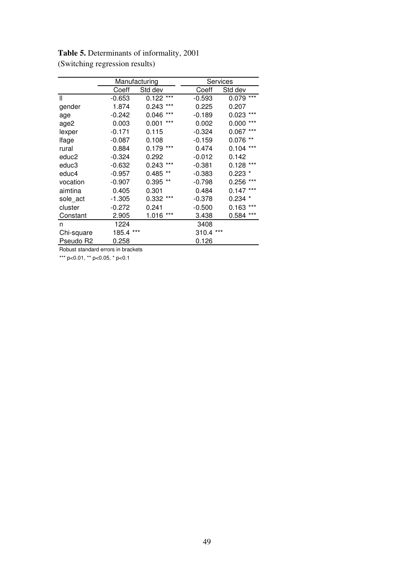|                       |           | Manufacturing  |          | Services         |
|-----------------------|-----------|----------------|----------|------------------|
|                       | Coeff     | Std dev        | Coeff    | Std dev          |
| Ш                     | $-0.653$  | $0.122***$     | $-0.593$ | $***$<br>0.079   |
| gender                | 1.874     | $***$<br>0.243 | 0.225    | 0.207            |
| age                   | $-0.242$  | ***<br>0.046   | $-0.189$ | $0.023$ ***      |
| age2                  | 0.003     | ***<br>0.001   | 0.002    | ***<br>0.000     |
| lexper                | -0.171    | 0.115          | $-0.324$ | $***$<br>0.067   |
| lfage                 | $-0.087$  | 0.108          | $-0.159$ | $***$<br>0.076   |
| rural                 | 0.884     | ***<br>0.179   | 0.474    | $***$<br>0.104   |
| educ2                 | -0.324    | 0.292          | $-0.012$ | 0.142            |
| educ3                 | $-0.632$  | $***$<br>0.243 | $-0.381$ | ***<br>0.128     |
| educ4                 | -0.957    | **<br>0.485    | $-0.383$ | 0.223<br>$\star$ |
| vocation              | -0.907    | **<br>0.395    | $-0.798$ | $***$<br>0.256   |
| aimtina               | 0.405     | 0.301          | 0.484    | $***$<br>0.147   |
| sole act              | $-1.305$  | $0.332***$     | $-0.378$ | $0.234$ $*$      |
| cluster               | $-0.272$  | 0.241          | $-0.500$ | $***$<br>0.163   |
| Constant              | 2.905     | $1.016***$     | 3.438    | $***$<br>0.584   |
| n                     | 1224      |                | 3408     |                  |
| Chi-square            | 185.4 *** |                | 310.4    | ***              |
| Pseudo R <sub>2</sub> | 0.258     |                | 0.126    |                  |

Table 5. Determinants of informality, 2001 (Switching regression results)

Robust standard errors in brackets

\*\*\* p<0.01, \*\* p<0.05, \* p<0.1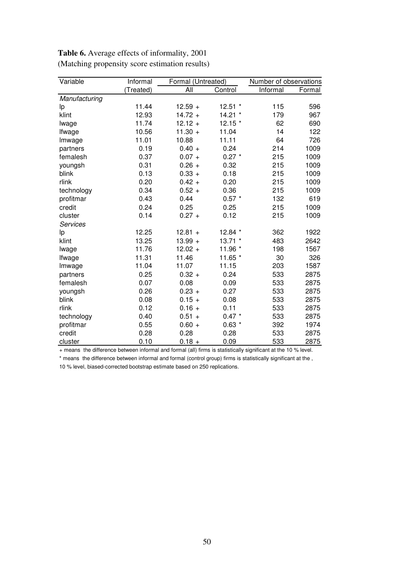| Variable        | Informal  | Formal (Untreated) |           | Number of observations |        |
|-----------------|-----------|--------------------|-----------|------------------------|--------|
|                 | (Treated) | All                | Control   | Informal               | Formal |
| Manufacturing   |           |                    |           |                        |        |
| Ιp              | 11.44     | $12.59 +$          | $12.51$ * | 115                    | 596    |
| klint           | 12.93     | $14.72 +$          | 14.21 *   | 179                    | 967    |
| lwage           | 11.74     | $12.12 +$          | 12.15 *   | 62                     | 690    |
| Ifwage          | 10.56     | $11.30 +$          | 11.04     | 14                     | 122    |
| Imwage          | 11.01     | 10.88              | 11.11     | 64                     | 726    |
| partners        | 0.19      | $0.40 +$           | 0.24      | 214                    | 1009   |
| femalesh        | 0.37      | $0.07 +$           | $0.27$ *  | 215                    | 1009   |
| youngsh         | 0.31      | $0.26 +$           | 0.32      | 215                    | 1009   |
| blink           | 0.13      | $0.33 +$           | 0.18      | 215                    | 1009   |
| rlink           | 0.20      | $0.42 +$           | 0.20      | 215                    | 1009   |
| technology      | 0.34      | $0.52 +$           | 0.36      | 215                    | 1009   |
| profitmar       | 0.43      | 0.44               | $0.57 *$  | 132                    | 619    |
| credit          | 0.24      | 0.25               | 0.25      | 215                    | 1009   |
| cluster         | 0.14      | $0.27 +$           | 0.12      | 215                    | 1009   |
| <b>Services</b> |           |                    |           |                        |        |
| Ip              | 12.25     | $12.81 +$          | 12.84 *   | 362                    | 1922   |
| klint           | 13.25     | $13.99 +$          | $13.71$ * | 483                    | 2642   |
| lwage           | 11.76     | $12.02 +$          | 11.96 *   | 198                    | 1567   |
| Ifwage          | 11.31     | 11.46              | 11.65 *   | 30                     | 326    |
| Imwage          | 11.04     | 11.07              | 11.15     | 203                    | 1587   |
| partners        | 0.25      | $0.32 +$           | 0.24      | 533                    | 2875   |
| femalesh        | 0.07      | 0.08               | 0.09      | 533                    | 2875   |
| youngsh         | 0.26      | $0.23 +$           | 0.27      | 533                    | 2875   |
| blink           | 0.08      | $0.15 +$           | 0.08      | 533                    | 2875   |
| rlink           | 0.12      | $0.16 +$           | 0.11      | 533                    | 2875   |
| technology      | 0.40      | $0.51 +$           | $0.47 *$  | 533                    | 2875   |
| profitmar       | 0.55      | $0.60 +$           | $0.63*$   | 392                    | 1974   |
| credit          | 0.28      | 0.28               | 0.28      | 533                    | 2875   |
| cluster         | 0.10      | $0.18 +$           | 0.09      | 533                    | 2875   |

Table 6. Average effects of informality, 2001 (Matching propensity score estimation results)

+ means the difference between informal and formal (all) firms is statistically significant at the 10 % level.

\* means the difference between informal and formal (control group) firms is statistically significant at the ,

10 % level, biased-corrected bootstrap estimate based on 250 replications.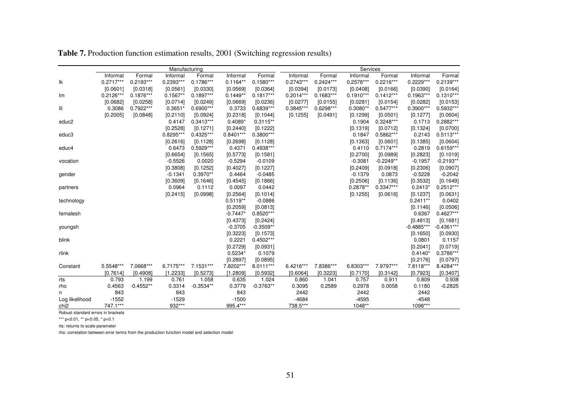|                  |             |             | Manufacturing |             |             |             |             |             | Services    |             |              |              |
|------------------|-------------|-------------|---------------|-------------|-------------|-------------|-------------|-------------|-------------|-------------|--------------|--------------|
|                  | Informal    | Formal      | Informal      | Formal      | Informal    | Formal      | Informal    | Formal      | Informal    | Formal      | Informal     | Formal       |
| Ιk               | $0.2717***$ | $0.2193***$ | 0.2393***     | $0.1786***$ | $0.1164**$  | $0.1580***$ | $0.2743***$ | $0.2424***$ | $0.2578***$ | $0.2216***$ | $0.2229***$  | $0.2139***$  |
|                  | [0.0601]    | [0.0318]    | [0.0561]      | [0.0330]    | [0.0569]    | [0.0364]    | [0.0394]    | [0.0173]    | [0.0408]    | [0.0166]    | [0.0390]     | [0.0164]     |
| lm               | $0.2126***$ | $0.1876***$ | $0.1567**$    | $0.1897***$ | $0.1449**$  | $0.1817***$ | $0.2014***$ | $0.1683***$ | $0.1910***$ | $0.1412***$ | $0.1963***$  | $0.1310***$  |
|                  | [0.0682]    | [0.0258]    | [0.0714]      | [0.0249]    | [0.0669]    | [0.0236]    | [0.0277]    | [0.0155]    | [0.0281]    | [0.0154]    | [0.0282]     | [0.0153]     |
| Ш                | 0.3086      | $0.7922***$ | $0.3651*$     | 0.6900***   | 0.3733      | $0.6839***$ | 0.3845***   | $0.6298***$ | $0.3080**$  | $0.5477***$ | 0.3900***    | 0.5932***    |
|                  | [0.2005]    | [0.0848]    | [0.2110]      | [0.0924]    | [0.2318]    | [0.1044]    | [0.1255]    | [0.0491]    | [0.1299]    | [0.0501]    | [0.1277]     | [0.0604]     |
| educ2            |             |             | 0.4147        | $0.3413***$ | $0.4089*$   | $0.3115**$  |             |             | 0.1904      | $0.3248***$ | 0.1713       | 0.2882***    |
|                  |             |             | [0.2528]      | [0.1271]    | [0.2440]    | [0.1222]    |             |             | [0.1319]    | [0.0712]    | [0.1324]     | [0.0700]     |
| educ3            |             |             | $0.8295***$   | $0.4325***$ | $0.8401***$ | 0.3800***   |             |             | 0.1847      | 0.5862***   | 0.2143       | $0.5113***$  |
|                  |             |             | [0.2616]      | [0.1128]    | [0.2698]    | [0.1128]    |             |             | [0.1363]    | [0.0601]    | [0.1385]     | [0.0604]     |
| educ4            |             |             | 0.6473        | 0.5929***   | 0.4371      | 0.4938***   |             |             | 0.4110      | $0.7174***$ | 0.2819       | $0.6159***$  |
|                  |             |             | [0.6654]      | [0.1565]    | [0.5773]    | [0.1581]    |             |             | [0.2700]    | [0.0989]    | [0.2823]     | [0.1019]     |
| vocation         |             |             | $-0.5526$     | 0.0020      | $-0.5294$   | $-0.0109$   |             |             | $-0.3081$   | $-0.2249**$ | $-0.1957$    | $-0.2193**$  |
|                  |             |             | [0.3808]      | [0.1252]    | [0.4027]    | [0.1227]    |             |             | [0.2409]    | [0.0918]    | [0.2306]     | [0.0907]     |
| gender           |             |             | $-0.1341$     | 0.3970**    | 0.4464      | $-0.0485$   |             |             | $-0.1379$   | 0.0873      | $-0.5228$    | $-0.2042$    |
|                  |             |             | [0.3609]      | [0.1646]    | [0.4545]    | [0.1866]    |             |             | [0.2506]    | [0.1136]    | [0.3532]     | [0.1649]     |
| partners         |             |             | 0.0964        | 0.1112      | 0.0097      | 0.0442      |             |             | $0.2878**$  | $0.3347***$ | $0.2413*$    | $0.2512***$  |
|                  |             |             | [0.2415]      | [0.0998]    | [0.2564]    | [0.1014]    |             |             | [0.1255]    | [0.0616]    | [0.1237]     | [0.0631]     |
| technology       |             |             |               |             | $0.5119**$  | $-0.0886$   |             |             |             |             | $0.2411**$   | 0.0402       |
|                  |             |             |               |             | [0.2059]    | [0.0813]    |             |             |             |             | [0.1146]     | [0.0506]     |
| femalesh         |             |             |               |             | $-0.7447*$  | $0.8520***$ |             |             |             |             | 0.6367       | $0.4627***$  |
|                  |             |             |               |             | [0.4373]    | [0.2424]    |             |             |             |             | [0.4813]     | [0.1681]     |
| youngsh          |             |             |               |             | $-0.3705$   | $-0.3509**$ |             |             |             |             | $-0.4885***$ | $-0.4361***$ |
|                  |             |             |               |             | [0.3223]    | [0.1573]    |             |             |             |             | [0.1650]     | [0.0930]     |
| blink            |             |             |               |             | 0.2221      | $0.4502***$ |             |             |             |             | 0.0801       | 0.1157       |
|                  |             |             |               |             | [0.2729]    | [0.0931]    |             |             |             |             | [0.2041]     | [0.0719]     |
| rlink            |             |             |               |             | $0.5234*$   | 0.1079      |             |             |             |             | $0.4140*$    | 0.3786***    |
|                  |             |             |               |             | [0.2897]    | [0.0895]    |             |             |             |             | [0.2176]     | [0.0797]     |
| Constant         | 5.5548***   | 7.0668***   | 6.7175***     | 7.1531***   | 7.8202***   | 8.0111***   | 6.4216***   | 7.8386***   | 6.8303***   | 7.9797***   | 7.8118***    | 8.4284***    |
|                  | [0.7614]    | [0.4908]    | [1.2233]      | [0.5273]    | [1.2809]    | [0.5932]    | [0.6064]    | [0.3223]    | [0.7170]    | [0.3142]    | [0.7923]     | [0.3407]     |
| rts              | 0.793       | 1.199       | 0.761         | 1.058       | 0.635       | 1.024       | 0.860       | 1.041       | 0.757       | 0.911       | 0.809        | 0.938        |
| rho              | 0.4563      | $-0.4552**$ | 0.3314        | $-0.3534**$ | 0.3779      | $-0.3763**$ | 0.3095      | 0.2589      | 0.2978      | 0.0058      | 0.1180       | $-0.2825$    |
| n                | 843         |             | 843           |             | 843         |             | 2442        |             | 2442        |             | 2442         |              |
| Log likelihood   | $-1552$     |             | $-1529$       |             | $-1500$     |             | $-4684$     |             | $-4595$     |             | $-4548$      |              |
| chi <sub>2</sub> | 747.1***    |             | 932***        |             | 995.4***    |             | 738.5***    |             | 1048**      |             | 1098***      |              |

Table 7. Production function estimation results, 2001 (Switching regression results)

Robust standard errors in brackets

\*\*\* p<0.01, \*\* p<0.05, \* p<0.1

rts: returns to scale parameter

rho: correlation between error terms from the production function model and selection model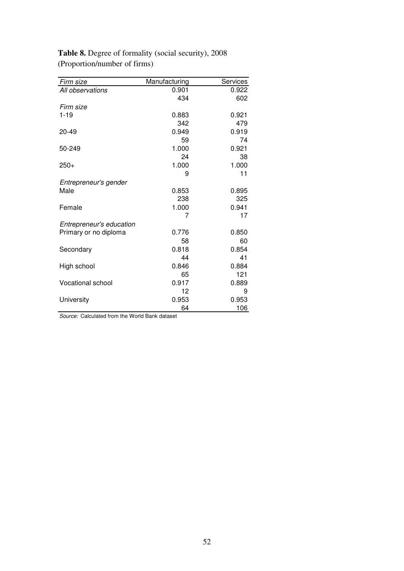| Firm size                | Manufacturing | Services |
|--------------------------|---------------|----------|
| All observations         | 0.901         | 0.922    |
|                          | 434           | 602      |
| Firm size                |               |          |
| $1 - 19$                 | 0.883         | 0.921    |
|                          | 342           | 479      |
| $20 - 49$                | 0.949         | 0.919    |
|                          | 59            | 74       |
| 50-249                   | 1.000         | 0.921    |
|                          | 24            | 38       |
| $250+$                   | 1.000         | 1.000    |
|                          | 9             | 11       |
| Entrepreneur's gender    |               |          |
| Male                     | 0.853         | 0.895    |
|                          | 238           | 325      |
| Female                   | 1.000         | 0.941    |
|                          | 7             | 17       |
| Entrepreneur's education |               |          |
| Primary or no diploma    | 0.776         | 0.850    |
|                          | 58            | 60       |
| Secondary                | 0.818         | 0.854    |
|                          | 44            | 41       |
| High school              | 0.846         | 0.884    |
|                          | 65            | 121      |
| Vocational school        | 0.917         | 0.889    |
|                          | 12            | 9        |
| University               | 0.953         | 0.953    |
|                          | 64            | 106      |

Table 8. Degree of formality (social security), 2008 (Proportion/number of firms)

*Source:*  Calculated from the World Bank dataset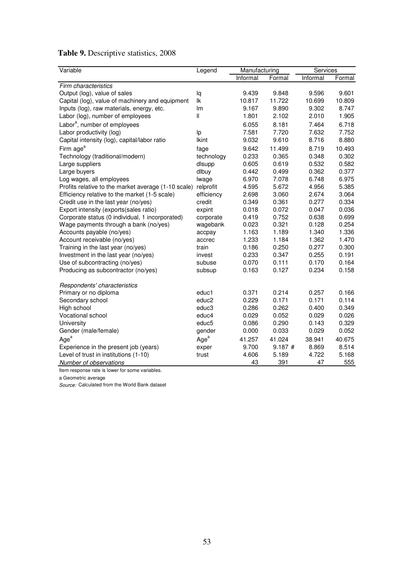### Table 9. Descriptive statistics, 2008

| Variable                                            | Legend            | Manufacturing |        | Services |        |  |
|-----------------------------------------------------|-------------------|---------------|--------|----------|--------|--|
|                                                     |                   | Informal      | Formal | Informal | Formal |  |
| Firm characteristics                                |                   |               |        |          |        |  |
| Output (log), value of sales                        | lq                | 9.439         | 9.848  | 9.596    | 9.601  |  |
| Capital (log), value of machinery and equipment     | lk                | 10.817        | 11.722 | 10.699   | 10.809 |  |
| Inputs (log), raw materials, energy, etc.           | Im                | 9.167         | 9.890  | 9.302    | 8.747  |  |
| Labor (log), number of employees                    | Ш                 | 1.801         | 2.102  | 2.010    | 1.905  |  |
| Labor <sup>a</sup> , number of employees            |                   | 6.055         | 8.181  | 7.464    | 6.718  |  |
| Labor productivity (log)                            | Ip                | 7.581         | 7.720  | 7.632    | 7.752  |  |
| Capital intensity (log), capital/labor ratio        | <b>Ikint</b>      | 9.032         | 9.610  | 8.716    | 8.880  |  |
| Firm age <sup>a</sup>                               | fage              | 9.642         | 11.499 | 8.719    | 10.493 |  |
| Technology (traditional/modern)                     | technology        | 0.233         | 0.365  | 0.348    | 0.302  |  |
| Large suppliers                                     | dlsupp            | 0.605         | 0.619  | 0.532    | 0.582  |  |
| Large buyers                                        | dlbuy             | 0.442         | 0.499  | 0.362    | 0.377  |  |
| Log wages, all employees                            | lwage             | 6.970         | 7.078  | 6.748    | 6.975  |  |
| Profits relative to the market average (1-10 scale) | relprofit         | 4.595         | 5.672  | 4.956    | 5.385  |  |
| Efficiency relative to the market (1-5 scale)       | efficiency        | 2.698         | 3.060  | 2.674    | 3.064  |  |
| Credit use in the last year (no/yes)                | credit            | 0.349         | 0.361  | 0.277    | 0.334  |  |
| Export intensity (exports(sales ratio)              | expint            | 0.018         | 0.072  | 0.047    | 0.036  |  |
| Corporate status (0 individual, 1 incorporated)     | corporate         | 0.419         | 0.752  | 0.638    | 0.699  |  |
| Wage payments through a bank (no/yes)               | wagebank          | 0.023         | 0.321  | 0.128    | 0.254  |  |
| Accounts payable (no/yes)                           | accpay            | 1.163         | 1.189  | 1.340    | 1.336  |  |
| Account receivable (no/yes)                         | accrec            | 1.233         | 1.184  | 1.362    | 1.470  |  |
| Training in the last year (no/yes)                  | train             | 0.186         | 0.250  | 0.277    | 0.300  |  |
| Investment in the last year (no/yes)                | invest            | 0.233         | 0.347  | 0.255    | 0.191  |  |
| Use of subcontracting (no/yes)                      | subuse            | 0.070         | 0.111  | 0.170    | 0.164  |  |
| Producing as subcontractor (no/yes)                 | subsup            | 0.163         | 0.127  | 0.234    | 0.158  |  |
|                                                     |                   |               |        |          |        |  |
| Respondents' characteristics                        |                   |               |        |          |        |  |
| Primary or no diploma                               | educ1             | 0.371         | 0.214  | 0.257    | 0.166  |  |
| Secondary school                                    | educ <sub>2</sub> | 0.229         | 0.171  | 0.171    | 0.114  |  |
| High school                                         | educ3             | 0.286         | 0.262  | 0.400    | 0.349  |  |
| Vocational school                                   | educ4             | 0.029         | 0.052  | 0.029    | 0.026  |  |
| University                                          | educ5             | 0.086         | 0.290  | 0.143    | 0.329  |  |
| Gender (male/female)                                | gender            | 0.000         | 0.033  | 0.029    | 0.052  |  |
| Age <sup>a</sup>                                    | Age <sup>a</sup>  | 41.257        | 41.024 | 38.941   | 40.675 |  |
| Experience in the present job (years)               | exper             | 9.700         | 9.187# | 8.869    | 8.514  |  |
| Level of trust in institutions (1-10)               | trust             | 4.606         | 5.189  | 4.722    | 5.168  |  |
| Number of observations                              |                   | 43            | 391    | 47       | 555    |  |

Item response rate is lower for some variables.

a Geometric average

*Source:*  Calculated from the World Bank dataset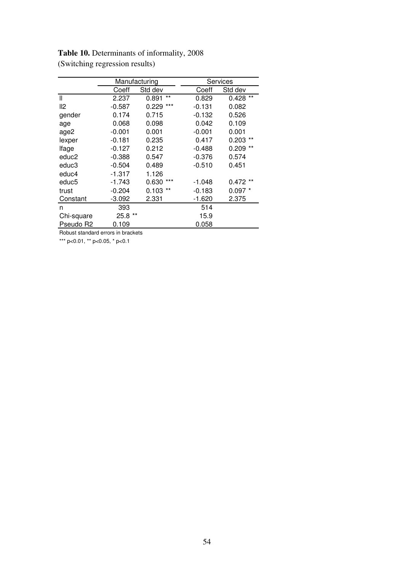|            |          | Manufacturing  |          | Services       |
|------------|----------|----------------|----------|----------------|
|            |          |                |          |                |
|            | Coeff    | Std dev        | Coeff    | Std dev        |
| Ш          | 2.237    | $***$<br>0.891 | 0.829    | $***$<br>0.428 |
| II2        | $-0.587$ | ***<br>0.229   | $-0.131$ | 0.082          |
| gender     | 0.174    | 0.715          | $-0.132$ | 0.526          |
| age        | 0.068    | 0.098          | 0.042    | 0.109          |
| age2       | $-0.001$ | 0.001          | $-0.001$ | 0.001          |
| lexper     | $-0.181$ | 0.235          | 0.417    | $0.203$ **     |
| lfage      | $-0.127$ | 0.212          | $-0.488$ | $***$<br>0.209 |
| educ2      | $-0.388$ | 0.547          | $-0.376$ | 0.574          |
| educ3      | $-0.504$ | 0.489          | $-0.510$ | 0.451          |
| educ4      | $-1.317$ | 1.126          |          |                |
| educ5      | $-1.743$ | $***$<br>0.630 | $-1.048$ | $0.472**$      |
| trust      | $-0.204$ | $0.103$ **     | $-0.183$ | $0.097*$       |
| Constant   | $-3.092$ | 2.331          | $-1.620$ | 2.375          |
| n          | 393      |                | 514      |                |
| Chi-square | 25.8 **  |                | 15.9     |                |
| Pseudo R2  | 0.109    |                | 0.058    |                |

Table 10. Determinants of informality, 2008 (Switching regression results)

Robust standard errors in brackets

\*\*\* p<0.01, \*\* p<0.05, \* p<0.1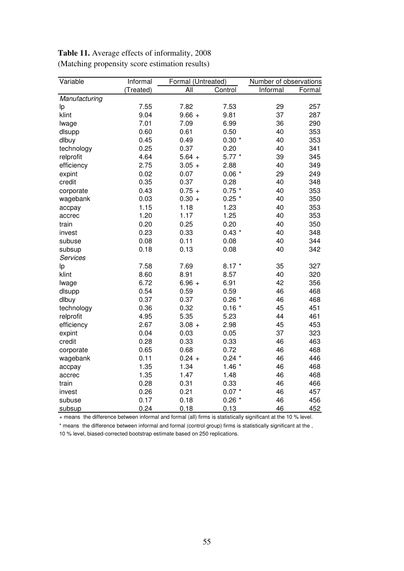| Variable        | Informal  |          | Formal (Untreated) |          | Number of observations |
|-----------------|-----------|----------|--------------------|----------|------------------------|
|                 | (Treated) | All      | Control            | Informal | Formal                 |
| Manufacturing   |           |          |                    |          |                        |
| Ιp              | 7.55      | 7.82     | 7.53               | 29       | 257                    |
| klint           | 9.04      | $9.66 +$ | 9.81               | 37       | 287                    |
| lwage           | 7.01      | 7.09     | 6.99               | 36       | 290                    |
| dlsupp          | 0.60      | 0.61     | 0.50               | 40       | 353                    |
| dlbuy           | 0.45      | 0.49     | $0.30*$            | 40       | 353                    |
| technology      | 0.25      | 0.37     | 0.20               | 40       | 341                    |
| relprofit       | 4.64      | $5.64 +$ | $5.77*$            | 39       | 345                    |
| efficiency      | 2.75      | $3.05 +$ | 2.88               | 40       | 349                    |
| expint          | 0.02      | 0.07     | $0.06*$            | 29       | 249                    |
| credit          | 0.35      | 0.37     | 0.28               | 40       | 348                    |
| corporate       | 0.43      | $0.75 +$ | $0.75$ *           | 40       | 353                    |
| wagebank        | 0.03      | $0.30 +$ | $0.25$ *           | 40       | 350                    |
| accpay          | 1.15      | 1.18     | 1.23               | 40       | 353                    |
| accrec          | 1.20      | 1.17     | 1.25               | 40       | 353                    |
| train           | 0.20      | 0.25     | 0.20               | 40       | 350                    |
| invest          | 0.23      | 0.33     | $0.43*$            | 40       | 348                    |
| subuse          | 0.08      | 0.11     | 0.08               | 40       | 344                    |
| subsup          | 0.18      | 0.13     | 0.08               | 40       | 342                    |
| <b>Services</b> |           |          |                    |          |                        |
| Ιp              | 7.58      | 7.69     | $8.17*$            | 35       | 327                    |
| klint           | 8.60      | 8.91     | 8.57               | 40       | 320                    |
| lwage           | 6.72      | $6.96 +$ | 6.91               | 42       | 356                    |
| dlsupp          | 0.54      | 0.59     | 0.59               | 46       | 468                    |
| dlbuy           | 0.37      | 0.37     | $0.26*$            | 46       | 468                    |
| technology      | 0.36      | 0.32     | $0.16*$            | 45       | 451                    |
| relprofit       | 4.95      | 5.35     | 5.23               | 44       | 461                    |
| efficiency      | 2.67      | $3.08 +$ | 2.98               | 45       | 453                    |
| expint          | 0.04      | 0.03     | 0.05               | 37       | 323                    |
| credit          | 0.28      | 0.33     | 0.33               | 46       | 463                    |
| corporate       | 0.65      | 0.68     | 0.72               | 46       | 468                    |
| wagebank        | 0.11      | $0.24 +$ | $0.24$ *           | 46       | 446                    |
| accpay          | 1.35      | 1.34     | $1.46*$            | 46       | 468                    |
| accrec          | 1.35      | 1.47     | 1.48               | 46       | 468                    |
| train           | 0.28      | 0.31     | 0.33               | 46       | 466                    |
| invest          | 0.26      | 0.21     | $0.07 *$           | 46       | 457                    |
| subuse          | 0.17      | 0.18     | $0.26*$            | 46       | 456                    |
| subsup          | 0.24      | 0.18     | 0.13               | 46       | 452                    |

Table 11. Average effects of informality, 2008 (Matching propensity score estimation results)

+ means the difference between informal and formal (all) firms is statistically significant at the 10 % level.

\* means the difference between informal and formal (control group) firms is statistically significant at the ,

10 % level, biased-corrected bootstrap estimate based on 250 replications.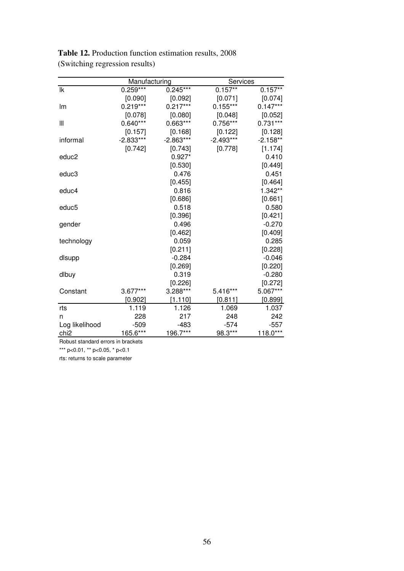|                  | Manufacturing |             | Services    |            |
|------------------|---------------|-------------|-------------|------------|
| lk               | $0.259***$    | $0.245***$  | $0.157**$   | $0.157**$  |
|                  | [0.090]       | [0.092]     | [0.071]     | [0.074]    |
| Im               | $0.219***$    | $0.217***$  | $0.155***$  | $0.147***$ |
|                  | [0.078]       | [0.080]     | [0.048]     | [0.052]    |
| Ш                | $0.640***$    | 0.663***    | 0.756***    | $0.731***$ |
|                  | [0.157]       | [0.168]     | [0.122]     | [0.128]    |
| informal         | $-2.833***$   | $-2.863***$ | $-2.493***$ | $-2.158**$ |
|                  | [0.742]       | [0.743]     | [0.778]     | [1.174]    |
| educ2            |               | $0.927*$    |             | 0.410      |
|                  |               | [0.530]     |             | [0.449]    |
| educ3            |               | 0.476       |             | 0.451      |
|                  |               | [0.455]     |             | [0.464]    |
| educ4            |               | 0.816       |             | 1.342**    |
|                  |               | [0.686]     |             | [0.661]    |
| educ5            |               | 0.518       |             | 0.580      |
|                  |               | [0.396]     |             | [0.421]    |
| gender           |               | 0.496       |             | $-0.270$   |
|                  |               | [0.462]     |             | [0.409]    |
| technology       |               | 0.059       |             | 0.285      |
|                  |               | [0.211]     |             | [0.228]    |
| dlsupp           |               | $-0.284$    |             | $-0.046$   |
|                  |               | [0.269]     |             | [0.220]    |
| dlbuy            |               | 0.319       |             | $-0.280$   |
|                  |               | [0.226]     |             | [0.272]    |
| Constant         | 3.677***      | 3.288***    | 5.416***    | 5.067***   |
|                  | [0.902]       | [1.110]     | [0.811]     | [0.899]    |
| rts              | 1.119         | 1.126       | 1.069       | 1.037      |
| n                | 228           | 217         | 248         | 242        |
| Log likelihood   | $-509$        | $-483$      | $-574$      | $-557$     |
| chi <sub>2</sub> | 165.6***      | 196.7***    | 98.3***     | 118.0***   |

Table 12. Production function estimation results, 2008 (Switching regression results)

Robust standard errors in brackets

\*\*\* p<0.01, \*\* p<0.05, \* p<0.1

rts: returns to scale parameter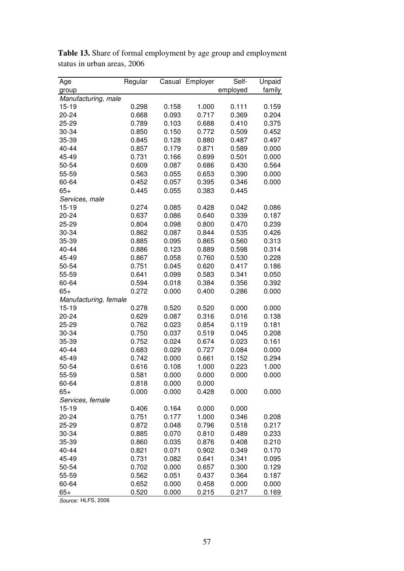| Age                   | Regular |       | Casual Employer | Self-          | Unpaid |
|-----------------------|---------|-------|-----------------|----------------|--------|
| group                 |         |       |                 | employed       | family |
| Manufacturing, male   |         |       |                 |                |        |
| $15 - 19$             | 0.298   | 0.158 | 1.000           | 0.111          | 0.159  |
| 20-24                 | 0.668   | 0.093 | 0.717           | 0.369          | 0.204  |
| 25-29                 | 0.789   | 0.103 | 0.688           | 0.410          | 0.375  |
| 30-34                 | 0.850   | 0.150 | 0.772           | 0.509          | 0.452  |
| 35-39                 | 0.845   | 0.128 | 0.880           | 0.487          | 0.497  |
| 40-44                 | 0.857   | 0.179 | 0.871           | 0.589          | 0.000  |
| 45-49                 | 0.731   | 0.166 | 0.699           | 0.501          | 0.000  |
| 50-54                 | 0.609   | 0.087 | 0.686           | 0.430          | 0.564  |
| 55-59                 | 0.563   | 0.055 | 0.653           | 0.390          | 0.000  |
| 60-64                 | 0.452   | 0.057 | 0.395           | 0.346          | 0.000  |
| $65+$                 | 0.445   | 0.055 | 0.383           | 0.445          |        |
|                       |         |       |                 |                |        |
| Services, male        |         |       |                 |                |        |
| $15 - 19$             | 0.274   | 0.085 | 0.428           | 0.042<br>0.339 | 0.086  |
| 20-24                 | 0.637   | 0.086 | 0.640           |                | 0.187  |
| 25-29                 | 0.804   | 0.098 | 0.800           | 0.470          | 0.239  |
| 30-34                 | 0.862   | 0.087 | 0.844           | 0.535          | 0.426  |
| 35-39                 | 0.885   | 0.095 | 0.865           | 0.560          | 0.313  |
| 40-44                 | 0.886   | 0.123 | 0.889           | 0.598          | 0.314  |
| 45-49                 | 0.867   | 0.058 | 0.760           | 0.530          | 0.228  |
| 50-54                 | 0.751   | 0.045 | 0.620           | 0.417          | 0.186  |
| 55-59                 | 0.641   | 0.099 | 0.583           | 0.341          | 0.050  |
| 60-64                 | 0.594   | 0.018 | 0.384           | 0.356          | 0.392  |
| $65+$                 | 0.272   | 0.000 | 0.400           | 0.286          | 0.000  |
| Manufacturing, female |         |       |                 |                |        |
| $15 - 19$             | 0.278   | 0.520 | 0.520           | 0.000          | 0.000  |
| 20-24                 | 0.629   | 0.087 | 0.316           | 0.016          | 0.138  |
| 25-29                 | 0.762   | 0.023 | 0.854           | 0.119          | 0.181  |
| 30-34                 | 0.750   | 0.037 | 0.519           | 0.045          | 0.208  |
| 35-39                 | 0.752   | 0.024 | 0.674           | 0.023          | 0.161  |
| 40-44                 | 0.683   | 0.029 | 0.727           | 0.084          | 0.000  |
| 45-49                 | 0.742   | 0.000 | 0.661           | 0.152          | 0.294  |
| 50-54                 | 0.616   | 0.108 | 1.000           | 0.223          | 1.000  |
| 55-59                 | 0.581   | 0.000 | 0.000           | 0.000          | 0.000  |
| 60-64                 | 0.818   | 0.000 | 0.000           |                |        |
| $65+$                 | 0.000   | 0.000 | 0.428           | 0.000          | 0.000  |
| Services, female      |         |       |                 |                |        |
| 15-19                 | 0.406   | 0.164 | 0.000           | 0.000          |        |
| 20-24                 | 0.751   | 0.177 | 1.000           | 0.346          | 0.208  |
| 25-29                 | 0.872   | 0.048 | 0.796           | 0.518          | 0.217  |
| 30-34                 | 0.885   | 0.070 | 0.810           | 0.489          | 0.233  |
| 35-39                 | 0.860   | 0.035 | 0.876           | 0.408          | 0.210  |
| 40-44                 | 0.821   | 0.071 | 0.902           | 0.349          | 0.170  |
| 45-49                 | 0.731   | 0.082 | 0.641           | 0.341          | 0.095  |
| 50-54                 | 0.702   | 0.000 | 0.657           | 0.300          | 0.129  |
| 55-59                 | 0.562   | 0.051 | 0.437           | 0.364          | 0.187  |
| 60-64                 | 0.652   | 0.000 | 0.458           | 0.000          | 0.000  |
| $65+$                 | 0.520   | 0.000 | 0.215           | 0.217          | 0.169  |

Table 13. Share of formal employment by age group and employment status in urban areas, 2006

*Source:* HLFS, 2006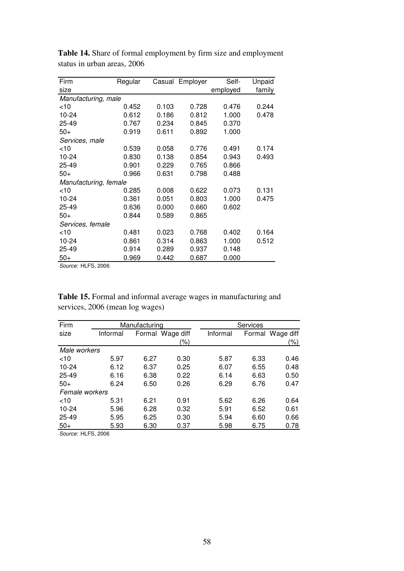| Firm                  | Regular |       | Casual Employer | Self-    | Unpaid |
|-----------------------|---------|-------|-----------------|----------|--------|
| size                  |         |       |                 | employed | family |
| Manufacturing, male   |         |       |                 |          |        |
| $<$ 10                | 0.452   | 0.103 | 0.728           | 0.476    | 0.244  |
| 10-24                 | 0.612   | 0.186 | 0.812           | 1.000    | 0.478  |
| 25-49                 | 0.767   | 0.234 | 0.845           | 0.370    |        |
| $50+$                 | 0.919   | 0.611 | 0.892           | 1.000    |        |
| Services, male        |         |       |                 |          |        |
| <10                   | 0.539   | 0.058 | 0.776           | 0.491    | 0.174  |
| 10-24                 | 0.830   | 0.138 | 0.854           | 0.943    | 0.493  |
| 25-49                 | 0.901   | 0.229 | 0.765           | 0.866    |        |
| $50+$                 | 0.966   | 0.631 | 0.798           | 0.488    |        |
| Manufacturing, female |         |       |                 |          |        |
| <10                   | 0.285   | 0.008 | 0.622           | 0.073    | 0.131  |
| 10-24                 | 0.361   | 0.051 | 0.803           | 1.000    | 0.475  |
| 25-49                 | 0.636   | 0.000 | 0.660           | 0.602    |        |
| 50+                   | 0.844   | 0.589 | 0.865           |          |        |
| Services, female      |         |       |                 |          |        |
| $<$ 10                | 0.481   | 0.023 | 0.768           | 0.402    | 0.164  |
| 10-24                 | 0.861   | 0.314 | 0.863           | 1.000    | 0.512  |
| 25-49                 | 0.914   | 0.289 | 0.937           | 0.148    |        |
| $50+$                 | 0.969   | 0.442 | 0.687           | 0.000    |        |

Table 14. Share of formal employment by firm size and employment status in urban areas, 2006

*Source:* HLFS, 2006

Table 15. Formal and informal average wages in manufacturing and services, 2006 (mean log wages)

| Firm           |          | Manufacturing |                  | Services |      |                  |
|----------------|----------|---------------|------------------|----------|------|------------------|
| size           | Informal |               | Formal Wage diff | Informal |      | Formal Wage diff |
|                |          |               | $(\% )$          |          |      | (%)              |
| Male workers   |          |               |                  |          |      |                  |
| $<$ 10         | 5.97     | 6.27          | 0.30             | 5.87     | 6.33 | 0.46             |
| 10-24          | 6.12     | 6.37          | 0.25             | 6.07     | 6.55 | 0.48             |
| 25-49          | 6.16     | 6.38          | 0.22             | 6.14     | 6.63 | 0.50             |
| $50+$          | 6.24     | 6.50          | 0.26             | 6.29     | 6.76 | 0.47             |
| Female workers |          |               |                  |          |      |                  |
| $<$ 10         | 5.31     | 6.21          | 0.91             | 5.62     | 6.26 | 0.64             |
| 10-24          | 5.96     | 6.28          | 0.32             | 5.91     | 6.52 | 0.61             |
| 25-49          | 5.95     | 6.25          | 0.30             | 5.94     | 6.60 | 0.66             |
| $50+$          | 5.93     | 6.30          | 0.37             | 5.98     | 6.75 | 0.78             |

*Source:* HLFS, 2006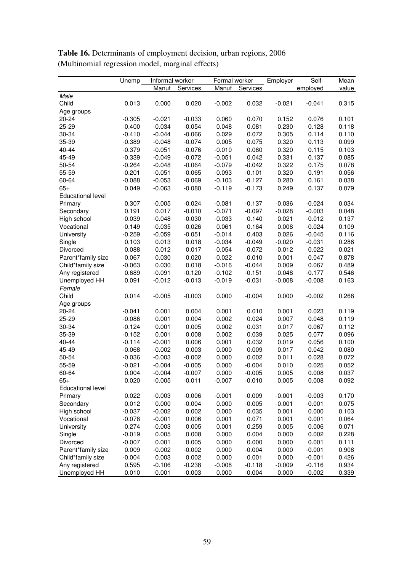|                                   | Unemp    | Informal worker |          | Formal worker |          | Employer | Self-    | Mean  |
|-----------------------------------|----------|-----------------|----------|---------------|----------|----------|----------|-------|
|                                   |          | Manuf           | Services | Manuf         | Services |          | employed | value |
| Male                              |          |                 |          |               |          |          |          |       |
| Child                             | 0.013    | 0.000           | 0.020    | $-0.002$      | 0.032    | $-0.021$ | $-0.041$ | 0.315 |
| Age groups                        |          |                 |          |               |          |          |          |       |
| 20-24                             | $-0.305$ | $-0.021$        | $-0.033$ | 0.060         | 0.070    | 0.152    | 0.076    | 0.101 |
| 25-29                             | $-0.400$ | $-0.034$        | $-0.054$ | 0.048         | 0.081    | 0.230    | 0.128    | 0.118 |
| 30-34                             | $-0.410$ | $-0.044$        | $-0.066$ | 0.029         | 0.072    | 0.305    | 0.114    | 0.110 |
| 35-39                             | $-0.389$ | $-0.048$        | $-0.074$ | 0.005         | 0.075    | 0.320    | 0.113    | 0.099 |
| 40-44                             | $-0.379$ | $-0.051$        | $-0.076$ | $-0.010$      | 0.080    | 0.320    | 0.115    | 0.103 |
| 45-49                             | $-0.339$ | $-0.049$        | $-0.072$ | $-0.051$      | 0.042    | 0.331    | 0.137    | 0.085 |
| 50-54                             | $-0.264$ | $-0.048$        | $-0.064$ | $-0.079$      | $-0.042$ | 0.322    | 0.175    | 0.078 |
| 55-59                             | $-0.201$ | $-0.051$        | $-0.065$ | $-0.093$      | $-0.101$ | 0.320    | 0.191    | 0.056 |
| 60-64                             | $-0.088$ | $-0.053$        | $-0.069$ | $-0.103$      | $-0.127$ | 0.280    | 0.161    | 0.038 |
| $65+$                             | 0.049    | $-0.063$        | $-0.080$ | $-0.119$      | $-0.173$ | 0.249    | 0.137    | 0.079 |
| <b>Educational level</b>          |          |                 |          |               |          |          |          |       |
| Primary                           | 0.307    | $-0.005$        | $-0.024$ | $-0.081$      | $-0.137$ | $-0.036$ | $-0.024$ | 0.034 |
| Secondary                         | 0.191    | 0.017           | $-0.010$ | $-0.071$      | $-0.097$ | $-0.028$ | $-0.003$ | 0.048 |
| High school                       | $-0.039$ | $-0.048$        | $-0.030$ | $-0.033$      | 0.140    | 0.021    | $-0.012$ | 0.137 |
| Vocational                        | $-0.149$ | $-0.035$        | $-0.026$ | 0.061         | 0.164    | 0.008    | $-0.024$ | 0.109 |
| University                        | $-0.259$ | $-0.059$        | $-0.051$ | $-0.014$      | 0.403    | 0.026    | $-0.045$ | 0.116 |
| Single                            | 0.103    | 0.013           | 0.018    | $-0.034$      | $-0.049$ | $-0.020$ | $-0.031$ | 0.286 |
| Divorced                          | 0.088    | 0.012           | 0.017    | $-0.054$      | $-0.072$ | $-0.012$ | 0.022    | 0.021 |
| Parent*family size                | $-0.067$ | 0.030           | 0.020    | $-0.022$      | $-0.010$ | 0.001    | 0.047    | 0.878 |
| Child*family size                 | $-0.063$ | 0.030           | 0.018    | $-0.016$      | $-0.044$ | 0.009    | 0.067    | 0.489 |
| Any registered                    | 0.689    | $-0.091$        | $-0.120$ | $-0.102$      | $-0.151$ | $-0.048$ | $-0.177$ | 0.546 |
| Unemployed HH                     | 0.091    | $-0.012$        | $-0.013$ | $-0.019$      | $-0.031$ | $-0.008$ | $-0.008$ | 0.163 |
| Female                            |          |                 |          |               |          |          |          |       |
| Child                             | 0.014    | $-0.005$        | $-0.003$ | 0.000         | $-0.004$ | 0.000    | $-0.002$ | 0.268 |
| Age groups                        |          |                 |          |               |          |          |          |       |
| 20-24                             | $-0.041$ | 0.001           | 0.004    | 0.001         | 0.010    | 0.001    | 0.023    | 0.119 |
| 25-29                             | $-0.086$ | 0.001           | 0.004    | 0.002         | 0.024    | 0.007    | 0.048    | 0.119 |
| 30-34                             | $-0.124$ | 0.001           | 0.005    | 0.002         | 0.031    | 0.017    | 0.067    | 0.112 |
| 35-39                             | $-0.152$ | 0.001           | 0.008    | 0.002         | 0.039    | 0.025    | 0.077    | 0.096 |
| 40-44                             | $-0.114$ | $-0.001$        | 0.006    | 0.001         | 0.032    | 0.019    | 0.056    | 0.100 |
| 45-49                             | $-0.068$ | $-0.002$        | 0.003    | 0.000         | 0.009    | 0.017    | 0.042    | 0.080 |
| 50-54                             | $-0.036$ | $-0.003$        | $-0.002$ | 0.000         | 0.002    | 0.011    | 0.028    | 0.072 |
| 55-59                             | $-0.021$ | $-0.004$        | $-0.005$ | 0.000         | $-0.004$ | 0.010    | 0.025    | 0.052 |
| 60-64                             | 0.004    | $-0.004$        | $-0.007$ | 0.000         | $-0.005$ | 0.005    | 0.008    | 0.037 |
|                                   |          |                 |          |               |          |          |          |       |
| $65+$<br><b>Educational level</b> | 0.020    | $-0.005$        | $-0.011$ | $-0.007$      | -0.010   | 0.005    | 0.008    | 0.092 |
| Primary                           | 0.022    | $-0.003$        | $-0.006$ | $-0.001$      | $-0.009$ | $-0.001$ | $-0.003$ | 0.170 |
| Secondary                         | 0.012    | 0.000           | $-0.004$ | 0.000         | $-0.005$ | $-0.001$ | $-0.001$ | 0.075 |
| High school                       | $-0.037$ | $-0.002$        | 0.002    | 0.000         | 0.035    | 0.001    | 0.000    | 0.103 |
| Vocational                        |          |                 |          |               | 0.071    | 0.001    |          | 0.064 |
|                                   | $-0.078$ | $-0.001$        | 0.006    | 0.001         |          |          | 0.001    |       |
| <b>University</b>                 | $-0.274$ | $-0.003$        | 0.005    | 0.001         | 0.259    | 0.005    | 0.006    | 0.071 |
| Single                            | $-0.019$ | 0.005           | 0.008    | 0.000         | 0.004    | 0.000    | 0.002    | 0.228 |
| Divorced                          | $-0.007$ | 0.001           | 0.005    | 0.000         | 0.000    | 0.000    | 0.001    | 0.111 |
| Parent*family size                | 0.009    | $-0.002$        | $-0.002$ | 0.000         | $-0.004$ | 0.000    | $-0.001$ | 0.908 |
| Child*family size                 | $-0.004$ | 0.003           | 0.002    | 0.000         | 0.001    | 0.000    | $-0.001$ | 0.426 |
| Any registered                    | 0.595    | $-0.106$        | $-0.238$ | $-0.008$      | $-0.118$ | $-0.009$ | $-0.116$ | 0.934 |
| Unemployed HH                     | 0.010    | $-0.001$        | $-0.003$ | 0.000         | $-0.004$ | 0.000    | $-0.002$ | 0.339 |

Table 16. Determinants of employment decision, urban regions, 2006 (Multinomial regression model, marginal effects)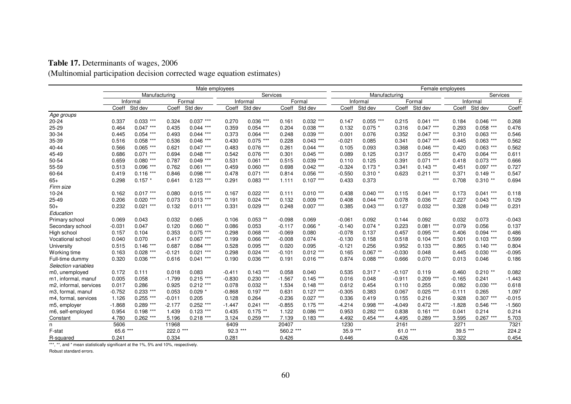### Table 17. Determinants of wages, 2006

(Multinomial participation decision corrected wage equation estimates)

|                        | Male employees |                |          |             |           | Female employees |           |             |          |               |           |             |          |             |                |
|------------------------|----------------|----------------|----------|-------------|-----------|------------------|-----------|-------------|----------|---------------|-----------|-------------|----------|-------------|----------------|
|                        |                | Manufacturing  |          |             |           | Services         |           |             |          | Manufacturing |           |             |          | Services    |                |
|                        |                | Informal       |          | Formal      |           | Informal         |           | Formal      |          | Informal      |           | Formal      |          | Informal    | F <sub>0</sub> |
|                        | Coeff          | Std dev        | Coeff    | Std dev     | Coeff     | Std dev          | Coeff     | Std dev     | Coeff    | Std dev       | Coeff     | Std dev     | Coeff    | Std dev     | Coeff          |
| Age groups             |                |                |          |             |           |                  |           |             |          |               |           |             |          |             |                |
| $20 - 24$              | 0.337          | $0.033$ ***    | 0.324    | $0.037***$  | 0.270     | $0.036$ ***      | 0.161     | $0.032$ *** | 0.147    | 0.055<br>***  | 0.215     | $0.041$ *** | 0.184    | $0.046$ *** | 0.268          |
| 25-29                  | 0.464          | $0.047***$     | 0.435    | $0.044$ *** | 0.359     | $0.054$ ***      | 0.204     | $0.038***$  | 0.132    | $0.075*$      | 0.316     | $0.047***$  | 0.293    | $0.058$ *** | 0.476          |
| 30-34                  | 0.445          | $0.054$ ***    | 0.493    | $0.044$ *** | 0.373     | $0.064$ ***      | 0.248     | $0.039***$  | 0.001    | 0.076         | 0.352     | $0.047***$  | 0.310    | $0.063$ *** | 0.546          |
| 35-39                  | 0.516          | $0.058$ ***    | 0.536    | $0.046$ *** | 0.430     | $0.075$ ***      | 0.228     | $0.043$ *** | $-0.021$ | 0.085         | 0.341     | $0.047***$  | 0.445    | $0.063$ *** | 0.562          |
| 40-44                  | 0.566          | $0.065$ ***    | 0.621    | $0.047***$  | 0.483     | $0.076$ ***      | 0.261     | $0.044$ *** | 0.105    | 0.093         | 0.368     | $0.046$ *** | 0.420    | $0.063$ *** | 0.562          |
| 45-49                  | 0.686          | $0.071$ ***    | 0.694    | $0.048$ *** | 0.542     | $0.076$ ***      | 0.301     | $0.045$ *** | 0.089    | 0.125         | 0.317     | $0.055$ *** | 0.470    | $0.064$ *** | 0.611          |
| 50-54                  | 0.659          | $0.080$ ***    | 0.787    | $0.049$ *** | 0.531     | $0.061$ ***      | 0.515     | $0.039***$  | 0.110    | 0.125         | 0.391     | $0.071$ *** | 0.418    | $0.073$ *** | 0.666          |
| 55-59                  | 0.513          | $0.096$ ***    | 0.762    | $0.061***$  | 0.459     | $0.060$ ***      | 0.698     | $0.042$ *** | $-0.324$ | $0.173*$      | 0.341     | $0.143$ **  | 0.451    | $0.097***$  | 0.727          |
| 60-64                  | 0.419          | $0.116$ ***    | 0.846    | $0.098$ *** | 0.478     | $0.071$ ***      | 0.814     | $0.056$ *** | $-0.550$ | $0.310*$      | 0.623     | $0.211***$  | 0.371    | $0.149**$   | 0.547          |
| $65+$                  | 0.298          | $0.157*$       | 0.641    | $0.123$ *** | 0.291     | $0.083$ ***      | 1.111     | $0.107***$  | 0.433    | 0.373         |           | $***$       | 0.708    | $0.310**$   | 0.694          |
| Firm size              |                |                |          |             |           |                  |           |             |          |               |           |             |          |             |                |
| $10 - 24$              | 0.162          | $0.017***$     | 0.080    | $0.015$ *** | 0.167     | $0.022$ ***      | 0.111     | $0.010***$  | 0.438    | $0.040$ ***   | 0.115     | $0.041***$  | 0.173    | $0.041***$  | 0.118          |
| $25 - 49$              | 0.206          | $0.020***$     | 0.073    | $0.013$ *** | 0.191     | $0.024$ ***      | 0.132     | $0.009$ *** | 0.408    | $0.044$ ***   | 0.078     | $0.036$ **  | 0.227    | $0.043$ *** | 0.129          |
| $50+$                  | 0.232          | $***$<br>0.021 | 0.132    | $0.011***$  | 0.331     | $0.029$ ***      | 0.248     | $0.007***$  | 0.385    | $0.043$ ***   | 0.127     | $0.032$ *** | 0.328    | $0.049$ *** | 0.231          |
| Education              |                |                |          |             |           |                  |           |             |          |               |           |             |          |             |                |
| Primary school         | 0.069          | 0.043          | 0.032    | 0.065       | 0.106     | $0.053$ **       | $-0.098$  | 0.069       | $-0.061$ | 0.092         | 0.144     | 0.092       | 0.032    | 0.073       | $-0.043$       |
| Secondary school       | $-0.031$       | 0.047          | 0.120    | $0.060**$   | 0.086     | 0.053            | $-0.117$  | $0.066*$    | $-0.140$ | $0.074$ *     | 0.223     | $0.081***$  | 0.079    | 0.056       | 0.137          |
| High school            | 0.157          | 0.104          | 0.353    | $0.075$ *** | 0.298     | $0.068$ ***      | $-0.069$  | 0.080       | $-0.078$ | 0.137         | 0.457     | $0.095$ *** | 0.406    | $0.094$ *** | 0.486          |
| Vocational school      | 0.040          | 0.070          | 0.417    | $0.067***$  | 0.199     | $0.066$ ***      | $-0.008$  | 0.074       | $-0.130$ | 0.158         | 0.518     | $0.104$ *** | 0.501    | $0.103$ *** | 0.599          |
| University             | 0.515          | $0.146$ ***    | 0.687    | $0.084$ *** | 0.528     | $0.095$ ***      | 0.020     | 0.095       | $-0.121$ | 0.256         | 0.952     | $0.133$ *** | 0.865    | $0.140$ *** | 0.804          |
| Working time           | 0.163          | $0.028$ ***    | $-0.121$ | $0.021$ *** | 0.298     | $0.024$ ***      | $-0.101$  | $0.012$ *** | 0.165    | $0.067$ **    | $-0.030$  | 0.048       | 0.445    | $0.030$ *** | $-0.095$       |
| Full-time dummy        | 0.320          | $0.036$ ***    | 0.616    | $0.041$ *** | 0.190     | $0.036$ ***      | 0.191     | $0.016$ *** | 0.874    | $0.088***$    | 0.666     | $0.070$ *** | 0.013    | 0.046       | 0.186          |
| Selection variables    |                |                |          |             |           |                  |           |             |          |               |           |             |          |             |                |
| m0, unemployed         | 0.172          | 0.111          | 0.018    | 0.083       | $-0.411$  | $0.143$ ***      | 0.058     | 0.040       | 0.535    | $0.317*$      | $-0.107$  | 0.119       | 0.460    | $0.210**$   | 0.082          |
| m1, informal, manuf    | 0.005          | 0.058          | $-1.799$ | $0.215$ *** | $-0.830$  | $0.230$ ***      | $-1.567$  | $0.145$ *** | 0.016    | 0.048         | $-0.911$  | $0.209$ *** | $-0.165$ | 0.241       | $-1.443$       |
| m2, informal, services | 0.017          | 0.286          | 0.925    | $0.212$ *** | 0.078     | $0.032$ **       | 1.534     | $0.148$ *** | 0.612    | 0.454         | 0.110     | 0.255       | 0.082    | $0.030$ *** | 0.618          |
| m3, formal, manuf      | $-0.752$       | $0.233$ ***    | 0.053    | $0.029*$    | $-0.868$  | $0.197***$       | 0.631     | $0.127***$  | $-0.305$ | 0.383         | 0.067     | $0.025$ *** | $-0.111$ | 0.265       | 1.097          |
| m4, formal, services   | 1.126          | $0.255$ ***    | $-0.011$ | 0.205       | 0.128     | 0.264            | $-0.236$  | $0.027$ *** | 0.336    | 0.419         | 0.155     | 0.216       | 0.928    | $0.307***$  | $-0.015$       |
| m5, employer           | $-1.868$       | $0.289$ ***    | $-2.177$ | $0.252$ *** | $-1.447$  | $0.241$ ***      | $-0.855$  | $0.175$ *** | $-4.214$ | $0.998$ ***   | $-4.049$  | $0.472$ *** | $-1.828$ | $0.546$ *** | $-1.560$       |
| m6, self-employed      | 0.954          | $0.198$ ***    | 1.439    | $0.123$ *** | 0.435     | $0.175$ **       | 1.122     | $0.086$ *** | 0.953    | $0.282$ ***   | 0.838     | $0.161$ *** | 0.041    | 0.214       | 0.214          |
| Constant               | 4.780          | $0.262$ ***    | 5.196    | $0.218$ *** | 3.124     | $0.259$ ***      | 7.139     | $0.183$ *** | 4.492    | $0.454$ ***   | 4.495     | $0.289$ *** | 3.595    | $0.267$ *** | 5.703          |
| n.                     | 5606           |                | 11968    |             | 6409      |                  | 20407     |             | 1230     |               | 2161      |             | 2271     |             | 7321           |
| F-stat                 | 65.6 ***       |                | 222.0    | $***$       | $92.3***$ |                  | 560.2 *** |             | 35.9 *** |               | $61.0***$ |             | 39.5     | $***$       | 224.2          |
| R-squared              | 0.241          |                | 0.334    |             | 0.281     |                  | 0.426     |             | 0.446    |               | 0.426     |             | 0.322    |             | 0.454          |

\*\*\*, \*\*, and \* mean statistically significant at the 1%, 5% and 10%, respectively.

Robust standard errors.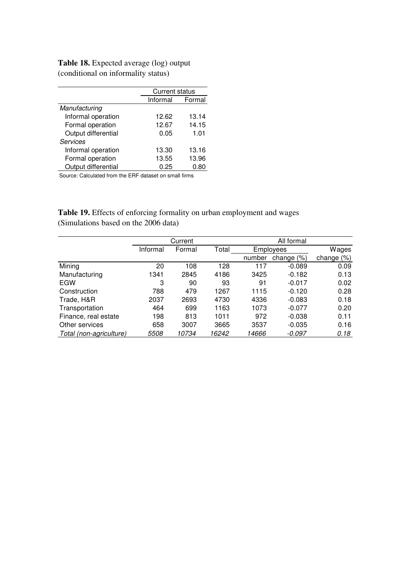Table 18. Expected average (log) output (conditional on informality status)

|                     | <b>Current status</b> |        |
|---------------------|-----------------------|--------|
|                     | Informal              | Formal |
| Manufacturing       |                       |        |
| Informal operation  | 12.62                 | 13.14  |
| Formal operation    | 12.67                 | 14.15  |
| Output differential | 0.05                  | 1.01   |
| <b>Services</b>     |                       |        |
| Informal operation  | 13.30                 | 13.16  |
| Formal operation    | 13.55                 | 13.96  |
| Output differential | 0.25                  | 0.80   |

Source: Calculated from the ERF dataset on small firms

Table 19. Effects of enforcing formality on urban employment and wages (Simulations based on the 2006 data)

|                         |          | Current |       | All formal |               |               |  |
|-------------------------|----------|---------|-------|------------|---------------|---------------|--|
|                         | Informal | Formal  | Total |            | Employees     | Wages         |  |
|                         |          |         |       | number     | change $(\%)$ | change $(\%)$ |  |
| Mining                  | 20       | 108     | 128   | 117        | $-0.089$      | 0.09          |  |
| Manufacturing           | 1341     | 2845    | 4186  | 3425       | $-0.182$      | 0.13          |  |
| EGW                     | 3        | 90      | 93    | 91         | $-0.017$      | 0.02          |  |
| Construction            | 788      | 479     | 1267  | 1115       | $-0.120$      | 0.28          |  |
| Trade, H&R              | 2037     | 2693    | 4730  | 4336       | $-0.083$      | 0.18          |  |
| Transportation          | 464      | 699     | 1163  | 1073       | $-0.077$      | 0.20          |  |
| Finance, real estate    | 198      | 813     | 1011  | 972        | $-0.038$      | 0.11          |  |
| Other services          | 658      | 3007    | 3665  | 3537       | $-0.035$      | 0.16          |  |
| Total (non-agriculture) | 5508     | 10734   | 16242 | 14666      | -0.097        | 0.18          |  |